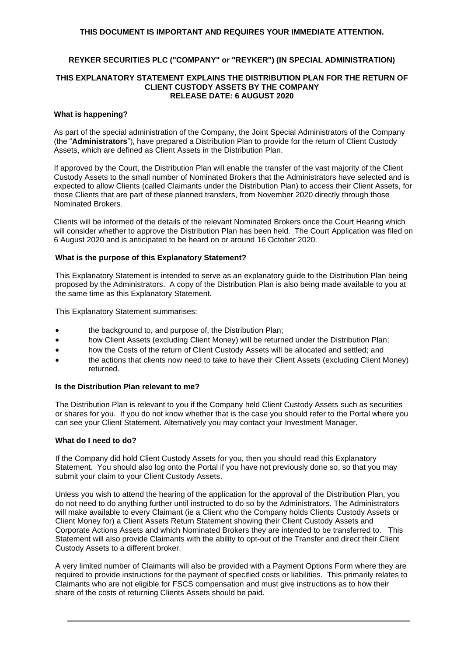## **THIS DOCUMENT IS IMPORTANT AND REQUIRES YOUR IMMEDIATE ATTENTION.**

# **REYKER SECURITIES PLC ("COMPANY" or "REYKER") (IN SPECIAL ADMINISTRATION)**

#### **THIS EXPLANATORY STATEMENT EXPLAINS THE DISTRIBUTION PLAN FOR THE RETURN OF CLIENT CUSTODY ASSETS BY THE COMPANY RELEASE DATE: 6 AUGUST 2020**

#### **What is happening?**

As part of the special administration of the Company, the Joint Special Administrators of the Company (the "**Administrators**"), have prepared a Distribution Plan to provide for the return of Client Custody Assets, which are defined as Client Assets in the Distribution Plan.

If approved by the Court, the Distribution Plan will enable the transfer of the vast majority of the Client Custody Assets to the small number of Nominated Brokers that the Administrators have selected and is expected to allow Clients (called Claimants under the Distribution Plan) to access their Client Assets, for those Clients that are part of these planned transfers, from November 2020 directly through those Nominated Brokers.

Clients will be informed of the details of the relevant Nominated Brokers once the Court Hearing which will consider whether to approve the Distribution Plan has been held. The Court Application was filed on 6 August 2020 and is anticipated to be heard on or around 16 October 2020.

#### **What is the purpose of this Explanatory Statement?**

This Explanatory Statement is intended to serve as an explanatory guide to the Distribution Plan being proposed by the Administrators. A copy of the Distribution Plan is also being made available to you at the same time as this Explanatory Statement*.*

This Explanatory Statement summarises:

- the background to, and purpose of, the Distribution Plan:
- how Client Assets (excluding Client Money) will be returned under the Distribution Plan;
- how the Costs of the return of Client Custody Assets will be allocated and settled; and
- the actions that clients now need to take to have their Client Assets (excluding Client Money) returned.

#### **Is the Distribution Plan relevant to me?**

The Distribution Plan is relevant to you if the Company held Client Custody Assets such as securities or shares for you. If you do not know whether that is the case you should refer to the Portal where you can see your Client Statement. Alternatively you may contact your Investment Manager.

## **What do I need to do?**

If the Company did hold Client Custody Assets for you, then you should read this Explanatory Statement. You should also log onto the Portal if you have not previously done so, so that you may submit your claim to your Client Custody Assets.

Unless you wish to attend the hearing of the application for the approval of the Distribution Plan, you do not need to do anything further until instructed to do so by the Administrators. The Administrators will make available to every Claimant (ie a Client who the Company holds Clients Custody Assets or Client Money for) a Client Assets Return Statement showing their Client Custody Assets and Corporate Actions Assets and which Nominated Brokers they are intended to be transferred to. This Statement will also provide Claimants with the ability to opt-out of the Transfer and direct their Client Custody Assets to a different broker.

A very limited number of Claimants will also be provided with a Payment Options Form where they are required to provide instructions for the payment of specified costs or liabilities. This primarily relates to Claimants who are not eligible for FSCS compensation and must give instructions as to how their share of the costs of returning Clients Assets should be paid.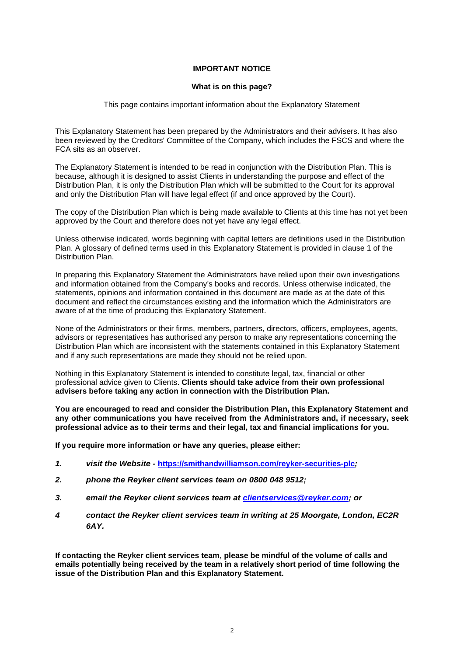# **IMPORTANT NOTICE**

#### **What is on this page?**

#### This page contains important information about the Explanatory Statement

This Explanatory Statement has been prepared by the Administrators and their advisers. It has also been reviewed by the Creditors' Committee of the Company, which includes the FSCS and where the FCA sits as an observer.

The Explanatory Statement is intended to be read in conjunction with the Distribution Plan. This is because, although it is designed to assist Clients in understanding the purpose and effect of the Distribution Plan, it is only the Distribution Plan which will be submitted to the Court for its approval and only the Distribution Plan will have legal effect (if and once approved by the Court).

The copy of the Distribution Plan which is being made available to Clients at this time has not yet been approved by the Court and therefore does not yet have any legal effect.

Unless otherwise indicated, words beginning with capital letters are definitions used in the Distribution Plan. A glossary of defined terms used in this Explanatory Statement is provided in clause 1 of the Distribution Plan.

In preparing this Explanatory Statement the Administrators have relied upon their own investigations and information obtained from the Company's books and records. Unless otherwise indicated, the statements, opinions and information contained in this document are made as at the date of this document and reflect the circumstances existing and the information which the Administrators are aware of at the time of producing this Explanatory Statement.

None of the Administrators or their firms, members, partners, directors, officers, employees, agents, advisors or representatives has authorised any person to make any representations concerning the Distribution Plan which are inconsistent with the statements contained in this Explanatory Statement and if any such representations are made they should not be relied upon.

Nothing in this Explanatory Statement is intended to constitute legal, tax, financial or other professional advice given to Clients. **Clients should take advice from their own professional advisers before taking any action in connection with the Distribution Plan.**

**You are encouraged to read and consider the Distribution Plan, this Explanatory Statement and any other communications you have received from the Administrators and, if necessary, seek professional advice as to their terms and their legal, tax and financial implications for you.**

**If you require more information or have any queries, please either:**

- *1. visit the Website -* **<https://smithandwilliamson.com/reyker-securities-plc>***;*
- *2. phone the Reyker client services team on 0800 048 9512;*
- *3. email the Reyker client services team at [clientservices@reyker.com;](mailto:clientservices@reyker.com) or*
- *4 contact the Reyker client services team in writing at 25 Moorgate, London, EC2R 6AY.*

**If contacting the Reyker client services team, please be mindful of the volume of calls and emails potentially being received by the team in a relatively short period of time following the issue of the Distribution Plan and this Explanatory Statement.**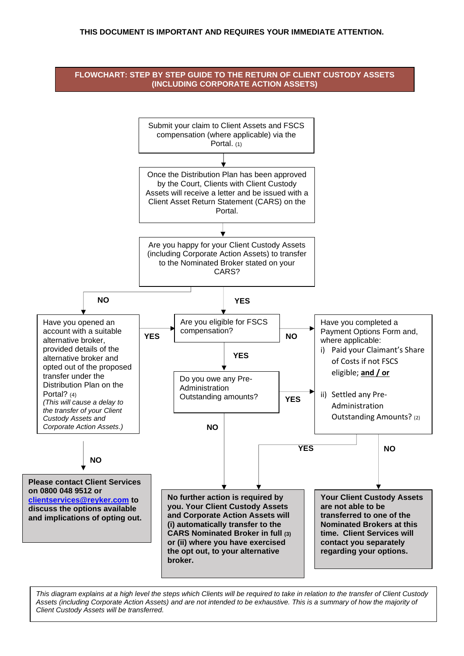## **THIS DOCUMENT IS IMPORTANT AND REQUIRES YOUR IMMEDIATE ATTENTION.**



*This diagram explains at a high level the steps which Clients will be required to take in relation to the transfer of Client Custody*  Assets *(including Corporate Action Assets) and are not intended to be exhaustive. This is a summary of how the majority of Client Custody Assets will be transferred.*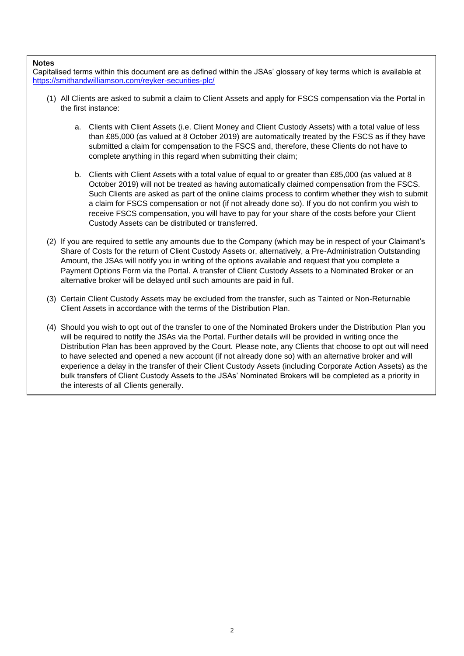#### **Notes**

Capitalised terms within this document are as defined within the JSAs' glossary of key terms which is available at <https://smithandwilliamson.com/reyker-securities-plc/>

- (1) All Clients are asked to submit a claim to Client Assets and apply for FSCS compensation via the Portal in the first instance:
	- a. Clients with Client Assets (i.e. Client Money and Client Custody Assets) with a total value of less than £85,000 (as valued at 8 October 2019) are automatically treated by the FSCS as if they have submitted a claim for compensation to the FSCS and, therefore, these Clients do not have to complete anything in this regard when submitting their claim;
	- b. Clients with Client Assets with a total value of equal to or greater than £85,000 (as valued at 8 October 2019) will not be treated as having automatically claimed compensation from the FSCS. Such Clients are asked as part of the online claims process to confirm whether they wish to submit a claim for FSCS compensation or not (if not already done so). If you do not confirm you wish to receive FSCS compensation, you will have to pay for your share of the costs before your Client Custody Assets can be distributed or transferred.
- (2) If you are required to settle any amounts due to the Company (which may be in respect of your Claimant's Share of Costs for the return of Client Custody Assets or, alternatively, a Pre-Administration Outstanding Amount, the JSAs will notify you in writing of the options available and request that you complete a Payment Options Form via the Portal. A transfer of Client Custody Assets to a Nominated Broker or an alternative broker will be delayed until such amounts are paid in full.
- (3) Certain Client Custody Assets may be excluded from the transfer, such as Tainted or Non-Returnable Client Assets in accordance with the terms of the Distribution Plan.
- (4) Should you wish to opt out of the transfer to one of the Nominated Brokers under the Distribution Plan you will be required to notify the JSAs via the Portal. Further details will be provided in writing once the Distribution Plan has been approved by the Court. Please note, any Clients that choose to opt out will need to have selected and opened a new account (if not already done so) with an alternative broker and will experience a delay in the transfer of their Client Custody Assets (including Corporate Action Assets) as the bulk transfers of Client Custody Assets to the JSAs' Nominated Brokers will be completed as a priority in the interests of all Clients generally.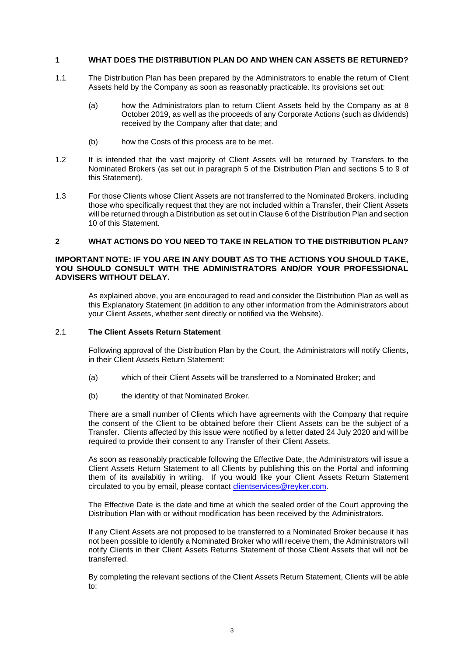### **1 WHAT DOES THE DISTRIBUTION PLAN DO AND WHEN CAN ASSETS BE RETURNED?**

- 1.1 The Distribution Plan has been prepared by the Administrators to enable the return of Client Assets held by the Company as soon as reasonably practicable. Its provisions set out:
	- (a) how the Administrators plan to return Client Assets held by the Company as at 8 October 2019, as well as the proceeds of any Corporate Actions (such as dividends) received by the Company after that date; and
	- (b) how the Costs of this process are to be met.
- 1.2 It is intended that the vast majority of Client Assets will be returned by Transfers to the Nominated Brokers (as set out in paragraph 5 of the Distribution Plan and sections [5](#page-14-0) to [9](#page-16-0) of this Statement).
- 1.3 For those Clients whose Client Assets are not transferred to the Nominated Brokers, including those who specifically request that they are not included within a Transfer, their Client Assets will be returned through a Distribution as set out in Clause 6 of the Distribution Plan and section [10](#page-18-0) of this Statement.

# <span id="page-4-0"></span>**2 WHAT ACTIONS DO YOU NEED TO TAKE IN RELATION TO THE DISTRIBUTION PLAN?**

### **IMPORTANT NOTE: IF YOU ARE IN ANY DOUBT AS TO THE ACTIONS YOU SHOULD TAKE, YOU SHOULD CONSULT WITH THE ADMINISTRATORS AND/OR YOUR PROFESSIONAL ADVISERS WITHOUT DELAY.**

As explained above, you are encouraged to read and consider the Distribution Plan as well as this Explanatory Statement (in addition to any other information from the Administrators about your Client Assets, whether sent directly or notified via the Website).

# 2.1 **The Client Assets Return Statement**

Following approval of the Distribution Plan by the Court, the Administrators will notify Clients, in their Client Assets Return Statement:

- (a) which of their Client Assets will be transferred to a Nominated Broker; and
- (b) the identity of that Nominated Broker.

There are a small number of Clients which have agreements with the Company that require the consent of the Client to be obtained before their Client Assets can be the subject of a Transfer. Clients affected by this issue were notified by a letter dated 24 July 2020 and will be required to provide their consent to any Transfer of their Client Assets.

As soon as reasonably practicable following the Effective Date, the Administrators will issue a Client Assets Return Statement to all Clients by publishing this on the Portal and informing them of its availabitiy in writing. If you would like your Client Assets Return Statement circulated to you by email, please contact [clientservices@reyker.com.](mailto:clientservices@reyker.com)

The Effective Date is the date and time at which the sealed order of the Court approving the Distribution Plan with or without modification has been received by the Administrators.

If any Client Assets are not proposed to be transferred to a Nominated Broker because it has not been possible to identify a Nominated Broker who will receive them, the Administrators will notify Clients in their Client Assets Returns Statement of those Client Assets that will not be transferred.

By completing the relevant sections of the Client Assets Return Statement, Clients will be able to: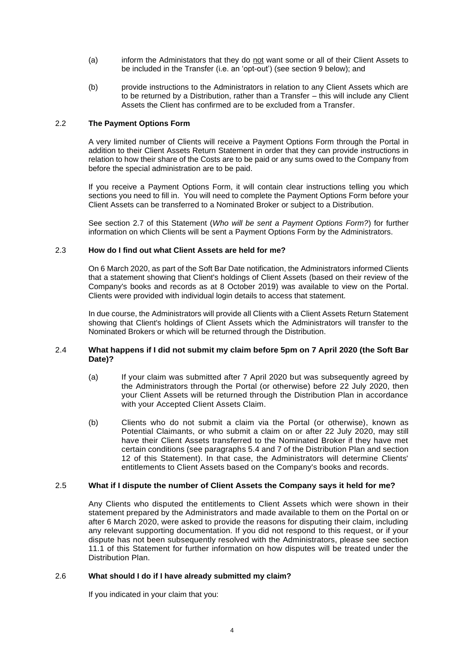- (a) inform the Administators that they do not want some or all of their Client Assets to be included in the Transfer (i.e. an 'opt-out') (see section [9](#page-16-0) below); and
- (b) provide instructions to the Administrators in relation to any Client Assets which are to be returned by a Distribution, rather than a Transfer – this will include any Client Assets the Client has confirmed are to be excluded from a Transfer.

## 2.2 **The Payment Options Form**

A very limited number of Clients will receive a Payment Options Form through the Portal in addition to their Client Assets Return Statement in order that they can provide instructions in relation to how their share of the Costs are to be paid or any sums owed to the Company from before the special administration are to be paid.

If you receive a Payment Options Form, it will contain clear instructions telling you which sections you need to fill in. You will need to complete the Payment Options Form before your Client Assets can be transferred to a Nominated Broker or subject to a Distribution.

See section [2.7](#page-7-0) of this Statement (*Who will be sent a Payment Options Form?*) for further information on which Clients will be sent a Payment Options Form by the Administrators.

## 2.3 **How do I find out what Client Assets are held for me?**

On 6 March 2020, as part of the Soft Bar Date notification, the Administrators informed Clients that a statement showing that Client's holdings of Client Assets (based on their review of the Company's books and records as at 8 October 2019) was available to view on the Portal. Clients were provided with individual login details to access that statement.

In due course, the Administrators will provide all Clients with a Client Assets Return Statement showing that Client's holdings of Client Assets which the Administrators will transfer to the Nominated Brokers or which will be returned through the Distribution.

## 2.4 **What happens if I did not submit my claim before 5pm on 7 April 2020 (the Soft Bar Date)?**

- (a) If your claim was submitted after 7 April 2020 but was subsequently agreed by the Administrators through the Portal (or otherwise) before 22 July 2020, then your Client Assets will be returned through the Distribution Plan in accordance with your Accepted Client Assets Claim.
- (b) Clients who do not submit a claim via the Portal (or otherwise), known as Potential Claimants, or who submit a claim on or after 22 July 2020, may still have their Client Assets transferred to the Nominated Broker if they have met certain conditions (see paragraphs 5.4 and 7 of the Distribution Plan and section [12](#page-22-0) of this Statement). In that case, the Administrators will determine Clients' entitlements to Client Assets based on the Company's books and records.

#### <span id="page-5-0"></span>2.5 **What if I dispute the number of Client Assets the Company says it held for me?**

Any Clients who disputed the entitlements to Client Assets which were shown in their statement prepared by the Administrators and made available to them on the Portal on or after 6 March 2020, were asked to provide the reasons for disputing their claim, including any relevant supporting documentation. If you did not respond to this request, or if your dispute has not been subsequently resolved with the Administrators, please see section [11.1](#page-19-0) of this Statement for further information on how disputes will be treated under the Distribution Plan.

### 2.6 **What should I do if I have already submitted my claim?**

If you indicated in your claim that you: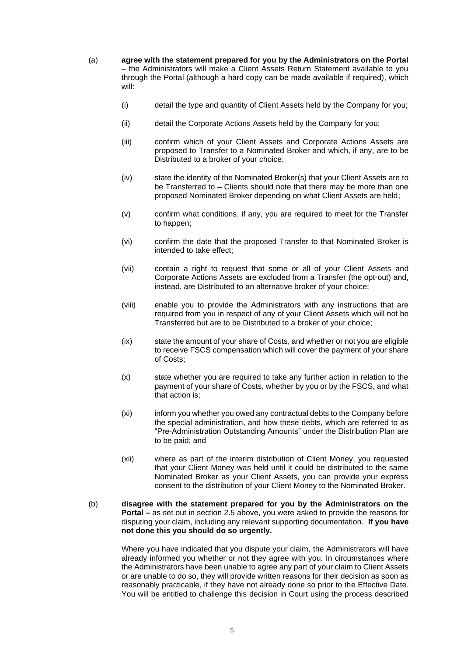- (a) **agree with the statement prepared for you by the Administrators on the Portal** – the Administrators will make a Client Assets Return Statement available to you through the Portal (although a hard copy can be made available if required), which will:
	- (i) detail the type and quantity of Client Assets held by the Company for you;
	- (ii) detail the Corporate Actions Assets held by the Company for you;
	- (iii) confirm which of your Client Assets and Corporate Actions Assets are proposed to Transfer to a Nominated Broker and which, if any, are to be Distributed to a broker of your choice;
	- (iv) state the identity of the Nominated Broker(s) that your Client Assets are to be Transferred to – Clients should note that there may be more than one proposed Nominated Broker depending on what Client Assets are held;
	- (v) confirm what conditions, if any, you are required to meet for the Transfer to happen;
	- (vi) confirm the date that the proposed Transfer to that Nominated Broker is intended to take effect;
	- (vii) contain a right to request that some or all of your Client Assets and Corporate Actions Assets are excluded from a Transfer (the opt-out) and, instead, are Distributed to an alternative broker of your choice;
	- (viii) enable you to provide the Administrators with any instructions that are required from you in respect of any of your Client Assets which will not be Transferred but are to be Distributed to a broker of your choice;
	- (ix) state the amount of your share of Costs, and whether or not you are eligible to receive FSCS compensation which will cover the payment of your share of Costs;
	- (x) state whether you are required to take any further action in relation to the payment of your share of Costs, whether by you or by the FSCS, and what that action is;
	- (xi) inform you whether you owed any contractual debts to the Company before the special administration, and how these debts, which are referred to as "Pre-Administration Outstanding Amounts" under the Distribution Plan are to be paid; and
	- (xii) where as part of the interim distribution of Client Money, you requested that your Client Money was held until it could be distributed to the same Nominated Broker as your Client Assets, you can provide your express consent to the distribution of your Client Money to the Nominated Broker.
- (b) **disagree with the statement prepared for you by the Administrators on the Portal –** as set out in section [2.5](#page-5-0) above, you were asked to provide the reasons for disputing your claim, including any relevant supporting documentation. **If you have not done this you should do so urgently.**

Where you have indicated that you dispute your claim, the Administrators will have already informed you whether or not they agree with you. In circumstances where the Administrators have been unable to agree any part of your claim to Client Assets or are unable to do so, they will provide written reasons for their decision as soon as reasonably practicable, if they have not already done so prior to the Effective Date. You will be entitled to challenge this decision in Court using the process described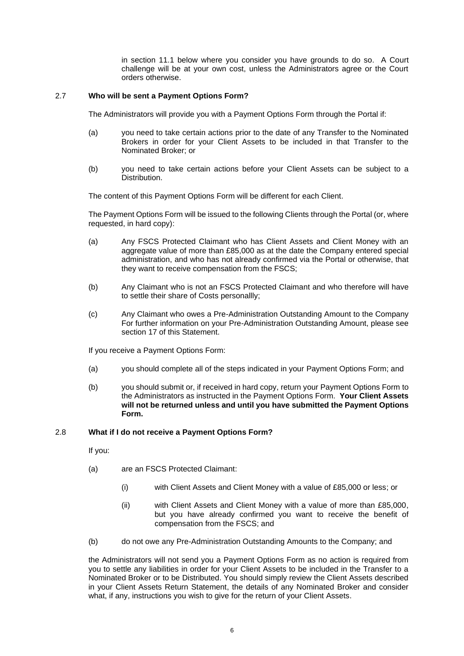in section [11.1](#page-19-0) below where you consider you have grounds to do so. A Court challenge will be at your own cost, unless the Administrators agree or the Court orders otherwise.

## <span id="page-7-0"></span>2.7 **Who will be sent a Payment Options Form?**

The Administrators will provide you with a Payment Options Form through the Portal if:

- (a) you need to take certain actions prior to the date of any Transfer to the Nominated Brokers in order for your Client Assets to be included in that Transfer to the Nominated Broker; or
- (b) you need to take certain actions before your Client Assets can be subject to a Distribution.

The content of this Payment Options Form will be different for each Client.

The Payment Options Form will be issued to the following Clients through the Portal (or, where requested, in hard copy):

- (a) Any FSCS Protected Claimant who has Client Assets and Client Money with an aggregate value of more than £85,000 as at the date the Company entered special administration, and who has not already confirmed via the Portal or otherwise, that they want to receive compensation from the FSCS;
- (b) Any Claimant who is not an FSCS Protected Claimant and who therefore will have to settle their share of Costs personallly;
- (c) Any Claimant who owes a Pre-Administration Outstanding Amount to the Company For further information on your Pre-Administration Outstanding Amount, please see section [17](#page-30-0) of this Statement.

If you receive a Payment Options Form:

- (a) you should complete all of the steps indicated in your Payment Options Form; and
- (b) you should submit or, if received in hard copy, return your Payment Options Form to the Administrators as instructed in the Payment Options Form. **Your Client Assets will not be returned unless and until you have submitted the Payment Options Form.**

## 2.8 **What if I do not receive a Payment Options Form?**

If you:

- (a) are an FSCS Protected Claimant:
	- (i) with Client Assets and Client Money with a value of £85,000 or less; or
	- (ii) with Client Assets and Client Money with a value of more than £85,000, but you have already confirmed you want to receive the benefit of compensation from the FSCS; and
- (b) do not owe any Pre-Administration Outstanding Amounts to the Company; and

the Administrators will not send you a Payment Options Form as no action is required from you to settle any liabilities in order for your Client Assets to be included in the Transfer to a Nominated Broker or to be Distributed. You should simply review the Client Assets described in your Client Assets Return Statement, the details of any Nominated Broker and consider what, if any, instructions you wish to give for the return of your Client Assets.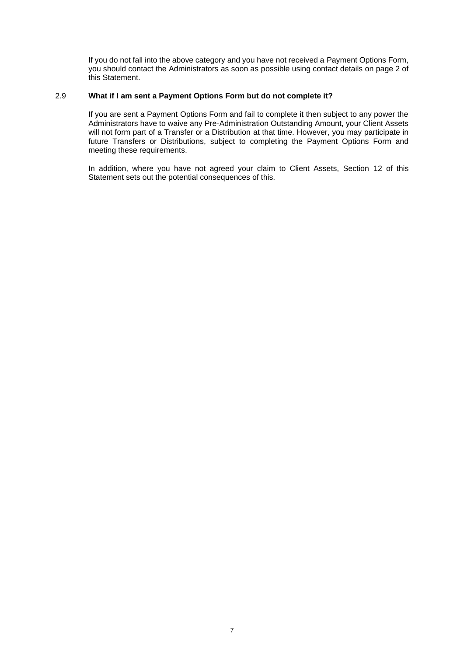If you do not fall into the above category and you have not received a Payment Options Form, you should contact the Administrators as soon as possible using contact details on page 2 of this Statement.

## 2.9 **What if I am sent a Payment Options Form but do not complete it?**

If you are sent a Payment Options Form and fail to complete it then subject to any power the Administrators have to waive any Pre-Administration Outstanding Amount, your Client Assets will not form part of a Transfer or a Distribution at that time. However, you may participate in future Transfers or Distributions, subject to completing the Payment Options Form and meeting these requirements.

In addition, where you have not agreed your claim to Client Assets, Section [12](#page-22-0) of this Statement sets out the potential consequences of this.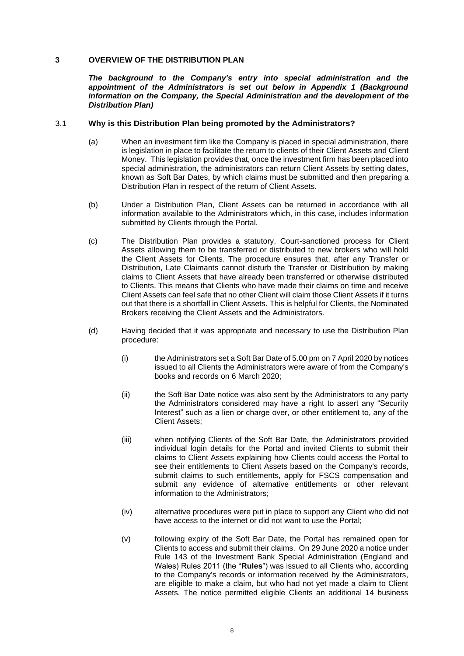## **3 OVERVIEW OF THE DISTRIBUTION PLAN**

*The background to the Company's entry into special administration and the appointment of the Administrators is set out below in Appendix 1 (Background information on the Company, the Special Administration and the development of the Distribution Plan)*

## <span id="page-9-0"></span>3.1 **Why is this Distribution Plan being promoted by the Administrators?**

- (a) When an investment firm like the Company is placed in special administration, there is legislation in place to facilitate the return to clients of their Client Assets and Client Money. This legislation provides that, once the investment firm has been placed into special administration, the administrators can return Client Assets by setting dates, known as Soft Bar Dates, by which claims must be submitted and then preparing a Distribution Plan in respect of the return of Client Assets.
- (b) Under a Distribution Plan, Client Assets can be returned in accordance with all information available to the Administrators which, in this case, includes information submitted by Clients through the Portal.
- (c) The Distribution Plan provides a statutory, Court-sanctioned process for Client Assets allowing them to be transferred or distributed to new brokers who will hold the Client Assets for Clients. The procedure ensures that, after any Transfer or Distribution, Late Claimants cannot disturb the Transfer or Distribution by making claims to Client Assets that have already been transferred or otherwise distributed to Clients. This means that Clients who have made their claims on time and receive Client Assets can feel safe that no other Client will claim those Client Assets if it turns out that there is a shortfall in Client Assets. This is helpful for Clients, the Nominated Brokers receiving the Client Assets and the Administrators.
- (d) Having decided that it was appropriate and necessary to use the Distribution Plan procedure:
	- (i) the Administrators set a Soft Bar Date of 5.00 pm on 7 April 2020 by notices issued to all Clients the Administrators were aware of from the Company's books and records on 6 March 2020;
	- (ii) the Soft Bar Date notice was also sent by the Administrators to any party the Administrators considered may have a right to assert any "Security Interest" such as a lien or charge over, or other entitlement to, any of the Client Assets;
	- (iii) when notifying Clients of the Soft Bar Date, the Administrators provided individual login details for the Portal and invited Clients to submit their claims to Client Assets explaining how Clients could access the Portal to see their entitlements to Client Assets based on the Company's records, submit claims to such entitlements, apply for FSCS compensation and submit any evidence of alternative entitlements or other relevant information to the Administrators;
	- (iv) alternative procedures were put in place to support any Client who did not have access to the internet or did not want to use the Portal;
	- (v) following expiry of the Soft Bar Date, the Portal has remained open for Clients to access and submit their claims. On 29 June 2020 a notice under Rule 143 of the Investment Bank Special Administration (England and Wales) Rules 2011 (the "**Rules**") was issued to all Clients who, according to the Company's records or information received by the Administrators, are eligible to make a claim, but who had not yet made a claim to Client Assets. The notice permitted eligible Clients an additional 14 business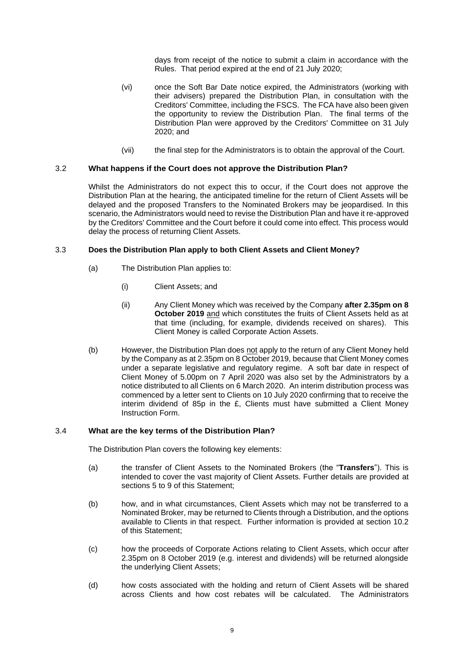days from receipt of the notice to submit a claim in accordance with the Rules. That period expired at the end of 21 July 2020;

- (vi) once the Soft Bar Date notice expired, the Administrators (working with their advisers) prepared the Distribution Plan, in consultation with the Creditors' Committee, including the FSCS. The FCA have also been given the opportunity to review the Distribution Plan. The final terms of the Distribution Plan were approved by the Creditors' Committee on 31 July 2020; and
- (vii) the final step for the Administrators is to obtain the approval of the Court.

## 3.2 **What happens if the Court does not approve the Distribution Plan?**

Whilst the Administrators do not expect this to occur, if the Court does not approve the Distribution Plan at the hearing, the anticipated timeline for the return of Client Assets will be delayed and the proposed Transfers to the Nominated Brokers may be jeopardised. In this scenario, the Administrators would need to revise the Distribution Plan and have it re-approved by the Creditors' Committee and the Court before it could come into effect. This process would delay the process of returning Client Assets.

## 3.3 **Does the Distribution Plan apply to both Client Assets and Client Money?**

- (a) The Distribution Plan applies to:
	- (i) Client Assets; and
	- (ii) Any Client Money which was received by the Company **after 2.35pm on 8 October 2019** and which constitutes the fruits of Client Assets held as at that time (including, for example, dividends received on shares). This Client Money is called Corporate Action Assets.
- (b) However, the Distribution Plan does not apply to the return of any Client Money held by the Company as at 2.35pm on 8 October 2019, because that Client Money comes under a separate legislative and regulatory regime. A soft bar date in respect of Client Money of 5.00pm on 7 April 2020 was also set by the Administrators by a notice distributed to all Clients on 6 March 2020. An interim distribution process was commenced by a letter sent to Clients on 10 July 2020 confirming that to receive the interim dividend of 85p in the £, Clients must have submitted a Client Money Instruction Form.

## 3.4 **What are the key terms of the Distribution Plan?**

The Distribution Plan covers the following key elements:

- (a) the transfer of Client Assets to the Nominated Brokers (the "**Transfers**"). This is intended to cover the vast majority of Client Assets. Further details are provided at sections [5](#page-14-0) to [9](#page-16-0) of this Statement;
- (b) how, and in what circumstances, Client Assets which may not be transferred to a Nominated Broker, may be returned to Clients through a Distribution, and the options available to Clients in that respect. Further information is provided at section [10.2](#page-18-1) of this Statement;
- (c) how the proceeds of Corporate Actions relating to Client Assets, which occur after 2.35pm on 8 October 2019 (e.g. interest and dividends) will be returned alongside the underlying Client Assets;
- (d) how costs associated with the holding and return of Client Assets will be shared across Clients and how cost rebates will be calculated. The Administrators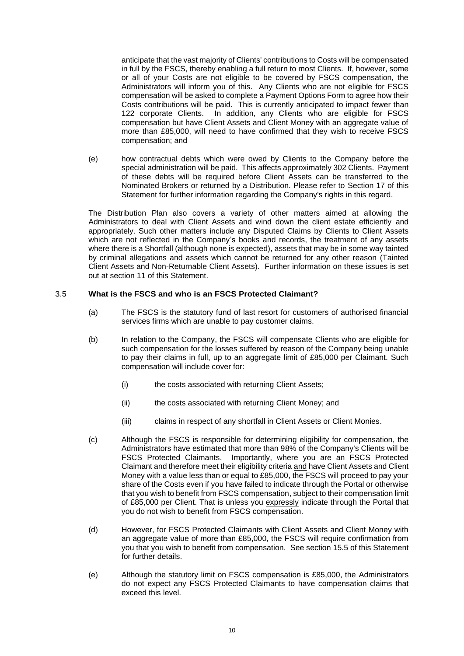anticipate that the vast majority of Clients' contributions to Costs will be compensated in full by the FSCS, thereby enabling a full return to most Clients. If, however, some or all of your Costs are not eligible to be covered by FSCS compensation, the Administrators will inform you of this. Any Clients who are not eligible for FSCS compensation will be asked to complete a Payment Options Form to agree how their Costs contributions will be paid. This is currently anticipated to impact fewer than 122 corporate Clients. In addition, any Clients who are eligible for FSCS compensation but have Client Assets and Client Money with an aggregate value of more than £85,000, will need to have confirmed that they wish to receive FSCS compensation; and

(e) how contractual debts which were owed by Clients to the Company before the special administration will be paid. This affects approximately 302 Clients. Payment of these debts will be required before Client Assets can be transferred to the Nominated Brokers or returned by a Distribution. Please refer to Section [17](#page-30-0) of this Statement for further information regarding the Company's rights in this regard.

The Distribution Plan also covers a variety of other matters aimed at allowing the Administrators to deal with Client Assets and wind down the client estate efficiently and appropriately. Such other matters include any Disputed Claims by Clients to Client Assets which are not reflected in the Company's books and records, the treatment of any assets where there is a Shortfall (although none is expected), assets that may be in some way tainted by criminal allegations and assets which cannot be returned for any other reason (Tainted Client Assets and Non-Returnable Client Assets). Further information on these issues is set out at section [11](#page-19-1) of this Statement.

## 3.5 **What is the FSCS and who is an FSCS Protected Claimant?**

- (a) The FSCS is the statutory fund of last resort for customers of authorised financial services firms which are unable to pay customer claims.
- (b) In relation to the Company, the FSCS will compensate Clients who are eligible for such compensation for the losses suffered by reason of the Company being unable to pay their claims in full, up to an aggregate limit of £85,000 per Claimant. Such compensation will include cover for:
	- (i) the costs associated with returning Client Assets;
	- (ii) the costs associated with returning Client Money; and
	- (iii) claims in respect of any shortfall in Client Assets or Client Monies.
- (c) Although the FSCS is responsible for determining eligibility for compensation, the Administrators have estimated that more than 98% of the Company's Clients will be FSCS Protected Claimants. Importantly, where you are an FSCS Protected Claimant and therefore meet their eligibility criteria and have Client Assets and Client Money with a value less than or equal to £85,000, the FSCS will proceed to pay your share of the Costs even if you have failed to indicate through the Portal or otherwise that you wish to benefit from FSCS compensation, subject to their compensation limit of £85,000 per Client. That is unless you expressly indicate through the Portal that you do not wish to benefit from FSCS compensation.
- (d) However, for FSCS Protected Claimants with Client Assets and Client Money with an aggregate value of more than £85,000, the FSCS will require confirmation from you that you wish to benefit from compensation. See section [15.5](#page-26-0) of this Statement for further details.
- (e) Although the statutory limit on FSCS compensation is £85,000, the Administrators do not expect any FSCS Protected Claimants to have compensation claims that exceed this level.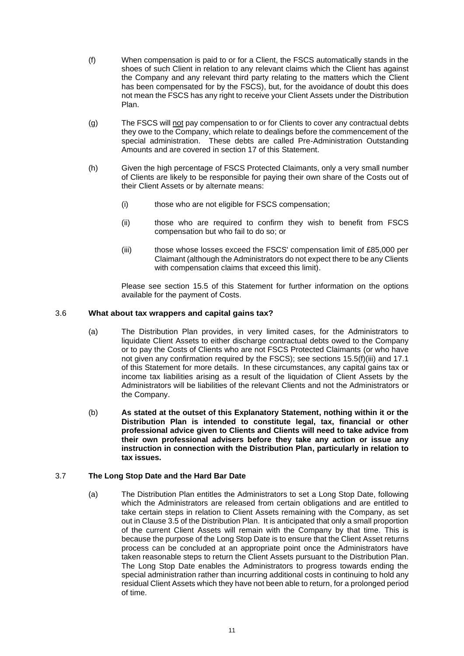- (f) When compensation is paid to or for a Client, the FSCS automatically stands in the shoes of such Client in relation to any relevant claims which the Client has against the Company and any relevant third party relating to the matters which the Client has been compensated for by the FSCS), but, for the avoidance of doubt this does not mean the FSCS has any right to receive your Client Assets under the Distribution Plan.
- (g) The FSCS will not pay compensation to or for Clients to cover any contractual debts they owe to the Company, which relate to dealings before the commencement of the special administration. These debts are called Pre-Administration Outstanding Amounts and are covered in section [17](#page-30-0) of this Statement.
- (h) Given the high percentage of FSCS Protected Claimants, only a very small number of Clients are likely to be responsible for paying their own share of the Costs out of their Client Assets or by alternate means:
	- (i) those who are not eligible for FSCS compensation;
	- (ii) those who are required to confirm they wish to benefit from FSCS compensation but who fail to do so; or
	- (iii) those whose losses exceed the FSCS' compensation limit of £85,000 per Claimant (although the Administrators do not expect there to be any Clients with compensation claims that exceed this limit).

Please see section [15.5](#page-26-0) of this Statement for further information on the options available for the payment of Costs.

# 3.6 **What about tax wrappers and capital gains tax?**

- (a) The Distribution Plan provides, in very limited cases, for the Administrators to liquidate Client Assets to either discharge contractual debts owed to the Company or to pay the Costs of Clients who are not FSCS Protected Claimants (or who have not given any confirmation required by the FSCS); see sections [15.5\(f\)\(iii\)](#page-27-0) and [17.1](#page-30-1) of this Statement for more details. In these circumstances, any capital gains tax or income tax liabilities arising as a result of the liquidation of Client Assets by the Administrators will be liabilities of the relevant Clients and not the Administrators or the Company.
- (b) **As stated at the outset of this Explanatory Statement, nothing within it or the Distribution Plan is intended to constitute legal, tax, financial or other professional advice given to Clients and Clients will need to take advice from their own professional advisers before they take any action or issue any instruction in connection with the Distribution Plan, particularly in relation to tax issues.**

# 3.7 **The Long Stop Date and the Hard Bar Date**

(a) The Distribution Plan entitles the Administrators to set a Long Stop Date, following which the Administrators are released from certain obligations and are entitled to take certain steps in relation to Client Assets remaining with the Company, as set out in Clause 3.5 of the Distribution Plan. It is anticipated that only a small proportion of the current Client Assets will remain with the Company by that time. This is because the purpose of the Long Stop Date is to ensure that the Client Asset returns process can be concluded at an appropriate point once the Administrators have taken reasonable steps to return the Client Assets pursuant to the Distribution Plan. The Long Stop Date enables the Administrators to progress towards ending the special administration rather than incurring additional costs in continuing to hold any residual Client Assets which they have not been able to return, for a prolonged period of time.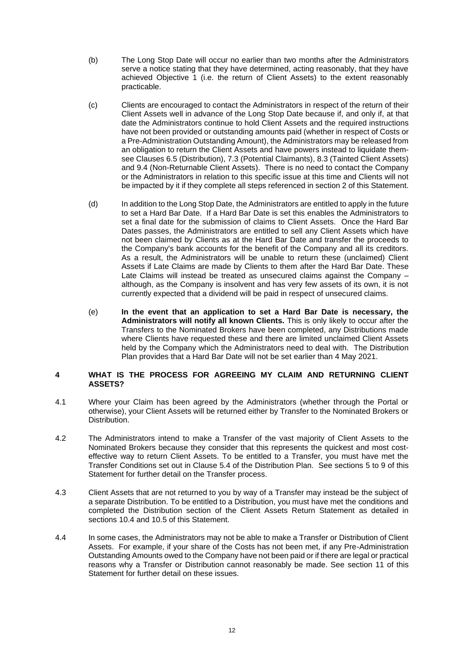- (b) The Long Stop Date will occur no earlier than two months after the Administrators serve a notice stating that they have determined, acting reasonably, that they have achieved Objective 1 (i.e. the return of Client Assets) to the extent reasonably practicable.
- (c) Clients are encouraged to contact the Administrators in respect of the return of their Client Assets well in advance of the Long Stop Date because if, and only if, at that date the Administrators continue to hold Client Assets and the required instructions have not been provided or outstanding amounts paid (whether in respect of Costs or a Pre-Administration Outstanding Amount), the Administrators may be released from an obligation to return the Client Assets and have powers instead to liquidate themsee Clauses 6.5 (Distribution), 7.3 (Potential Claimants), 8.3 (Tainted Client Assets) and 9.4 (Non-Returnable Client Assets). There is no need to contact the Company or the Administrators in relation to this specific issue at this time and Clients will not be impacted by it if they complete all steps referenced in section [2](#page-4-0) of this Statement.
- (d) In addition to the Long Stop Date, the Administrators are entitled to apply in the future to set a Hard Bar Date. If a Hard Bar Date is set this enables the Administrators to set a final date for the submission of claims to Client Assets. Once the Hard Bar Dates passes, the Administrators are entitled to sell any Client Assets which have not been claimed by Clients as at the Hard Bar Date and transfer the proceeds to the Company's bank accounts for the benefit of the Company and all its creditors. As a result, the Administrators will be unable to return these (unclaimed) Client Assets if Late Claims are made by Clients to them after the Hard Bar Date. These Late Claims will instead be treated as unsecured claims against the Company – although, as the Company is insolvent and has very few assets of its own, it is not currently expected that a dividend will be paid in respect of unsecured claims.
- (e) **In the event that an application to set a Hard Bar Date is necessary, the Administrators will notify all known Clients.** This is only likely to occur after the Transfers to the Nominated Brokers have been completed, any Distributions made where Clients have requested these and there are limited unclaimed Client Assets held by the Company which the Administrators need to deal with. The Distribution Plan provides that a Hard Bar Date will not be set earlier than 4 May 2021.

## **4 WHAT IS THE PROCESS FOR AGREEING MY CLAIM AND RETURNING CLIENT ASSETS?**

- 4.1 Where your Claim has been agreed by the Administrators (whether through the Portal or otherwise), your Client Assets will be returned either by Transfer to the Nominated Brokers or Distribution.
- 4.2 The Administrators intend to make a Transfer of the vast majority of Client Assets to the Nominated Brokers because they consider that this represents the quickest and most costeffective way to return Client Assets. To be entitled to a Transfer, you must have met the Transfer Conditions set out in Clause 5.4 of the Distribution Plan. See sections [5](#page-14-0) to [9](#page-16-0) of this Statement for further detail on the Transfer process.
- 4.3 Client Assets that are not returned to you by way of a Transfer may instead be the subject of a separate Distribution. To be entitled to a Distribution, you must have met the conditions and completed the Distribution section of the Client Assets Return Statement as detailed in sections [10.4](#page-18-2) and [10.5](#page-18-3) of this Statement.
- 4.4 In some cases, the Administrators may not be able to make a Transfer or Distribution of Client Assets. For example, if your share of the Costs has not been met, if any Pre-Administration Outstanding Amounts owed to the Company have not been paid or if there are legal or practical reasons why a Transfer or Distribution cannot reasonably be made. See section [11](#page-19-1) of this Statement for further detail on these issues.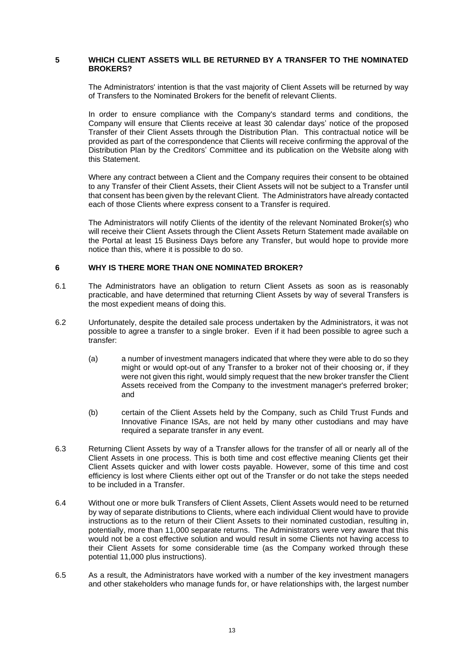#### <span id="page-14-0"></span>**5 WHICH CLIENT ASSETS WILL BE RETURNED BY A TRANSFER TO THE NOMINATED BROKERS?**

The Administrators' intention is that the vast majority of Client Assets will be returned by way of Transfers to the Nominated Brokers for the benefit of relevant Clients.

In order to ensure compliance with the Company's standard terms and conditions, the Company will ensure that Clients receive at least 30 calendar days' notice of the proposed Transfer of their Client Assets through the Distribution Plan. This contractual notice will be provided as part of the correspondence that Clients will receive confirming the approval of the Distribution Plan by the Creditors' Committee and its publication on the Website along with this Statement.

Where any contract between a Client and the Company requires their consent to be obtained to any Transfer of their Client Assets, their Client Assets will not be subject to a Transfer until that consent has been given by the relevant Client. The Administrators have already contacted each of those Clients where express consent to a Transfer is required.

The Administrators will notify Clients of the identity of the relevant Nominated Broker(s) who will receive their Client Assets through the Client Assets Return Statement made available on the Portal at least 15 Business Days before any Transfer, but would hope to provide more notice than this, where it is possible to do so.

## <span id="page-14-1"></span>**6 WHY IS THERE MORE THAN ONE NOMINATED BROKER?**

- 6.1 The Administrators have an obligation to return Client Assets as soon as is reasonably practicable, and have determined that returning Client Assets by way of several Transfers is the most expedient means of doing this.
- 6.2 Unfortunately, despite the detailed sale process undertaken by the Administrators, it was not possible to agree a transfer to a single broker. Even if it had been possible to agree such a transfer:
	- (a) a number of investment managers indicated that where they were able to do so they might or would opt-out of any Transfer to a broker not of their choosing or, if they were not given this right, would simply request that the new broker transfer the Client Assets received from the Company to the investment manager's preferred broker; and
	- (b) certain of the Client Assets held by the Company, such as Child Trust Funds and Innovative Finance ISAs, are not held by many other custodians and may have required a separate transfer in any event.
- 6.3 Returning Client Assets by way of a Transfer allows for the transfer of all or nearly all of the Client Assets in one process. This is both time and cost effective meaning Clients get their Client Assets quicker and with lower costs payable. However, some of this time and cost efficiency is lost where Clients either opt out of the Transfer or do not take the steps needed to be included in a Transfer.
- 6.4 Without one or more bulk Transfers of Client Assets, Client Assets would need to be returned by way of separate distributions to Clients, where each individual Client would have to provide instructions as to the return of their Client Assets to their nominated custodian, resulting in, potentially, more than 11,000 separate returns. The Administrators were very aware that this would not be a cost effective solution and would result in some Clients not having access to their Client Assets for some considerable time (as the Company worked through these potential 11,000 plus instructions).
- 6.5 As a result, the Administrators have worked with a number of the key investment managers and other stakeholders who manage funds for, or have relationships with, the largest number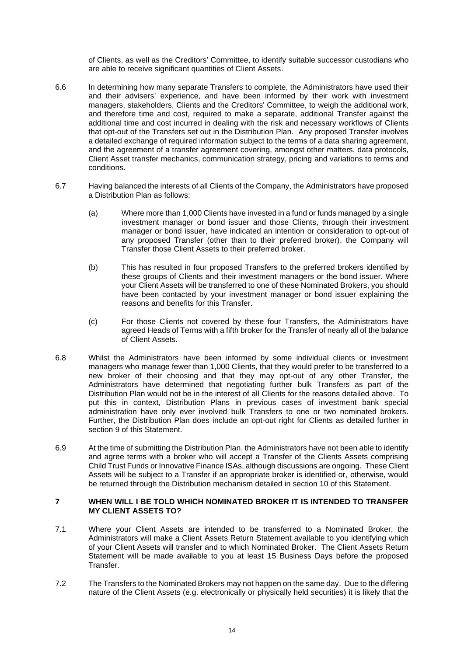of Clients, as well as the Creditors' Committee, to identify suitable successor custodians who are able to receive significant quantities of Client Assets.

- 6.6 In determining how many separate Transfers to complete, the Administrators have used their and their advisers' experience, and have been informed by their work with investment managers, stakeholders, Clients and the Creditors' Committee, to weigh the additional work, and therefore time and cost, required to make a separate, additional Transfer against the additional time and cost incurred in dealing with the risk and necessary workflows of Clients that opt-out of the Transfers set out in the Distribution Plan. Any proposed Transfer involves a detailed exchange of required information subject to the terms of a data sharing agreement, and the agreement of a transfer agreement covering, amongst other matters, data protocols, Client Asset transfer mechanics, communication strategy, pricing and variations to terms and conditions.
- 6.7 Having balanced the interests of all Clients of the Company, the Administrators have proposed a Distribution Plan as follows:
	- (a) Where more than 1,000 Clients have invested in a fund or funds managed by a single investment manager or bond issuer and those Clients, through their investment manager or bond issuer, have indicated an intention or consideration to opt-out of any proposed Transfer (other than to their preferred broker), the Company will Transfer those Client Assets to their preferred broker.
	- (b) This has resulted in four proposed Transfers to the preferred brokers identified by these groups of Clients and their investment managers or the bond issuer. Where your Client Assets will be transferred to one of these Nominated Brokers, you should have been contacted by your investment manager or bond issuer explaining the reasons and benefits for this Transfer.
	- (c) For those Clients not covered by these four Transfers, the Administrators have agreed Heads of Terms with a fifth broker for the Transfer of nearly all of the balance of Client Assets.
- 6.8 Whilst the Administrators have been informed by some individual clients or investment managers who manage fewer than 1,000 Clients, that they would prefer to be transferred to a new broker of their choosing and that they may opt-out of any other Transfer, the Administrators have determined that negotiating further bulk Transfers as part of the Distribution Plan would not be in the interest of all Clients for the reasons detailed above. To put this in context, Distribution Plans in previous cases of investment bank special administration have only ever involved bulk Transfers to one or two nominated brokers. Further, the Distribution Plan does include an opt-out right for Clients as detailed further in section [9](#page-16-0) of this Statement.
- 6.9 At the time of submitting the Distribution Plan, the Administrators have not been able to identify and agree terms with a broker who will accept a Transfer of the Clients Assets comprising Child Trust Funds or Innovative Finance ISAs, although discussions are ongoing. These Client Assets will be subject to a Transfer if an appropriate broker is identified or, otherwise, would be returned through the Distribution mechanism detailed in section [10](#page-18-0) of this Statement.

## **7 WHEN WILL I BE TOLD WHICH NOMINATED BROKER IT IS INTENDED TO TRANSFER MY CLIENT ASSETS TO?**

- 7.1 Where your Client Assets are intended to be transferred to a Nominated Broker, the Administrators will make a Client Assets Return Statement available to you identifying which of your Client Assets will transfer and to which Nominated Broker. The Client Assets Return Statement will be made available to you at least 15 Business Days before the proposed Transfer.
- 7.2 The Transfers to the Nominated Brokers may not happen on the same day. Due to the differing nature of the Client Assets (e.g. electronically or physically held securities) it is likely that the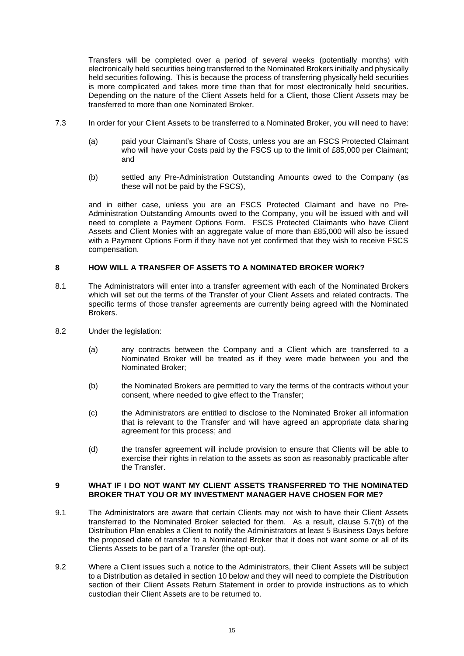Transfers will be completed over a period of several weeks (potentially months) with electronically held securities being transferred to the Nominated Brokers initially and physically held securities following. This is because the process of transferring physically held securities is more complicated and takes more time than that for most electronically held securities. Depending on the nature of the Client Assets held for a Client, those Client Assets may be transferred to more than one Nominated Broker.

- 7.3 In order for your Client Assets to be transferred to a Nominated Broker, you will need to have:
	- (a) paid your Claimant's Share of Costs, unless you are an FSCS Protected Claimant who will have your Costs paid by the FSCS up to the limit of £85,000 per Claimant; and
	- (b) settled any Pre-Administration Outstanding Amounts owed to the Company (as these will not be paid by the FSCS),

and in either case, unless you are an FSCS Protected Claimant and have no Pre-Administration Outstanding Amounts owed to the Company, you will be issued with and will need to complete a Payment Options Form. FSCS Protected Claimants who have Client Assets and Client Monies with an aggregate value of more than £85,000 will also be issued with a Payment Options Form if they have not yet confirmed that they wish to receive FSCS compensation.

# **8 HOW WILL A TRANSFER OF ASSETS TO A NOMINATED BROKER WORK?**

- 8.1 The Administrators will enter into a transfer agreement with each of the Nominated Brokers which will set out the terms of the Transfer of your Client Assets and related contracts. The specific terms of those transfer agreements are currently being agreed with the Nominated Brokers.
- 8.2 Under the legislation:
	- (a) any contracts between the Company and a Client which are transferred to a Nominated Broker will be treated as if they were made between you and the Nominated Broker;
	- (b) the Nominated Brokers are permitted to vary the terms of the contracts without your consent, where needed to give effect to the Transfer;
	- (c) the Administrators are entitled to disclose to the Nominated Broker all information that is relevant to the Transfer and will have agreed an appropriate data sharing agreement for this process; and
	- (d) the transfer agreement will include provision to ensure that Clients will be able to exercise their rights in relation to the assets as soon as reasonably practicable after the Transfer.

## <span id="page-16-0"></span>**9 WHAT IF I DO NOT WANT MY CLIENT ASSETS TRANSFERRED TO THE NOMINATED BROKER THAT YOU OR MY INVESTMENT MANAGER HAVE CHOSEN FOR ME?**

- 9.1 The Administrators are aware that certain Clients may not wish to have their Client Assets transferred to the Nominated Broker selected for them. As a result, clause 5.7(b) of the Distribution Plan enables a Client to notify the Administrators at least 5 Business Days before the proposed date of transfer to a Nominated Broker that it does not want some or all of its Clients Assets to be part of a Transfer (the opt-out).
- 9.2 Where a Client issues such a notice to the Administrators, their Client Assets will be subject to a Distribution as detailed in section [10](#page-18-0) below and they will need to complete the Distribution section of their Client Assets Return Statement in order to provide instructions as to which custodian their Client Assets are to be returned to.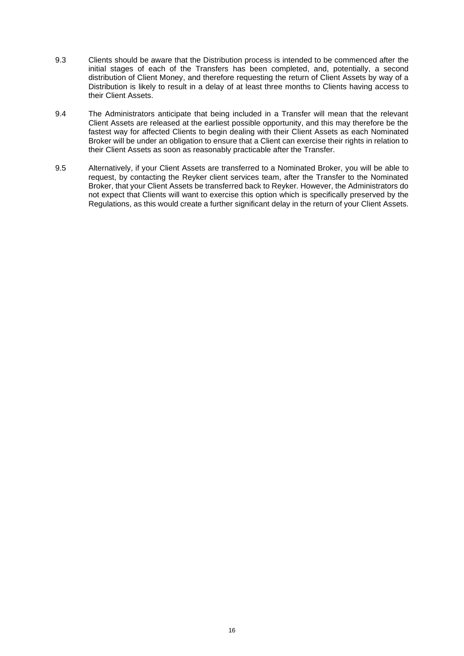- 9.3 Clients should be aware that the Distribution process is intended to be commenced after the initial stages of each of the Transfers has been completed, and, potentially, a second distribution of Client Money, and therefore requesting the return of Client Assets by way of a Distribution is likely to result in a delay of at least three months to Clients having access to their Client Assets.
- 9.4 The Administrators anticipate that being included in a Transfer will mean that the relevant Client Assets are released at the earliest possible opportunity, and this may therefore be the fastest way for affected Clients to begin dealing with their Client Assets as each Nominated Broker will be under an obligation to ensure that a Client can exercise their rights in relation to their Client Assets as soon as reasonably practicable after the Transfer.
- 9.5 Alternatively, if your Client Assets are transferred to a Nominated Broker, you will be able to request, by contacting the Reyker client services team, after the Transfer to the Nominated Broker, that your Client Assets be transferred back to Reyker. However, the Administrators do not expect that Clients will want to exercise this option which is specifically preserved by the Regulations, as this would create a further significant delay in the return of your Client Assets.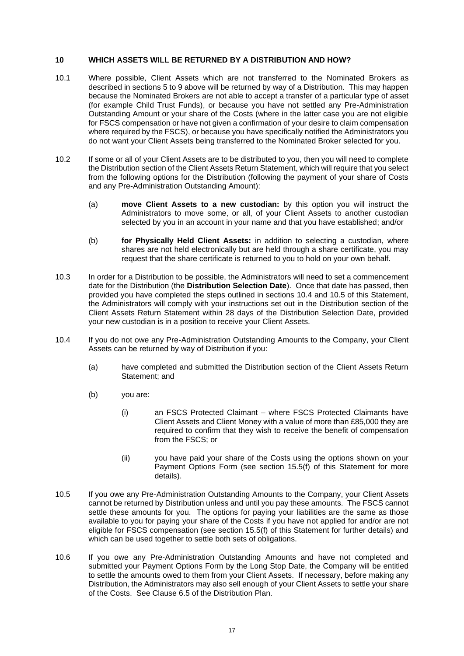## <span id="page-18-0"></span>**10 WHICH ASSETS WILL BE RETURNED BY A DISTRIBUTION AND HOW?**

- 10.1 Where possible, Client Assets which are not transferred to the Nominated Brokers as described in sections [5](#page-14-0) to [9](#page-16-0) above will be returned by way of a Distribution. This may happen because the Nominated Brokers are not able to accept a transfer of a particular type of asset (for example Child Trust Funds), or because you have not settled any Pre-Administration Outstanding Amount or your share of the Costs (where in the latter case you are not eligible for FSCS compensation or have not given a confirmation of your desire to claim compensation where required by the FSCS), or because you have specifically notified the Administrators you do not want your Client Assets being transferred to the Nominated Broker selected for you.
- <span id="page-18-1"></span>10.2 If some or all of your Client Assets are to be distributed to you, then you will need to complete the Distribution section of the Client Assets Return Statement, which will require that you select from the following options for the Distribution (following the payment of your share of Costs and any Pre-Administration Outstanding Amount):
	- (a) **move Client Assets to a new custodian:** by this option you will instruct the Administrators to move some, or all, of your Client Assets to another custodian selected by you in an account in your name and that you have established; and/or
	- (b) **for Physically Held Client Assets:** in addition to selecting a custodian, where shares are not held electronically but are held through a share certificate, you may request that the share certificate is returned to you to hold on your own behalf.
- 10.3 In order for a Distribution to be possible, the Administrators will need to set a commencement date for the Distribution (the **Distribution Selection Date**). Once that date has passed, then provided you have completed the steps outlined in sections [10.4](#page-18-2) and [10.5](#page-18-3) of this Statement, the Administrators will comply with your instructions set out in the Distribution section of the Client Assets Return Statement within 28 days of the Distribution Selection Date, provided your new custodian is in a position to receive your Client Assets.
- <span id="page-18-2"></span>10.4 If you do not owe any Pre-Administration Outstanding Amounts to the Company, your Client Assets can be returned by way of Distribution if you:
	- (a) have completed and submitted the Distribution section of the Client Assets Return Statement; and
	- (b) you are:
		- (i) an FSCS Protected Claimant where FSCS Protected Claimants have Client Assets and Client Money with a value of more than £85,000 they are required to confirm that they wish to receive the benefit of compensation from the FSCS; or
		- (ii) you have paid your share of the Costs using the options shown on your Payment Options Form (see section [15.5\(f\)](#page-27-1) of this Statement for more details).
- <span id="page-18-3"></span>10.5 If you owe any Pre-Administration Outstanding Amounts to the Company, your Client Assets cannot be returned by Distribution unless and until you pay these amounts. The FSCS cannot settle these amounts for you. The options for paying your liabilities are the same as those available to you for paying your share of the Costs if you have not applied for and/or are not eligible for FSCS compensation (see section [15.5\(f\)](#page-27-1) of this Statement for further details) and which can be used together to settle both sets of obligations.
- 10.6 If you owe any Pre-Administration Outstanding Amounts and have not completed and submitted your Payment Options Form by the Long Stop Date, the Company will be entitled to settle the amounts owed to them from your Client Assets. If necessary, before making any Distribution, the Administrators may also sell enough of your Client Assets to settle your share of the Costs. See Clause 6.5 of the Distribution Plan.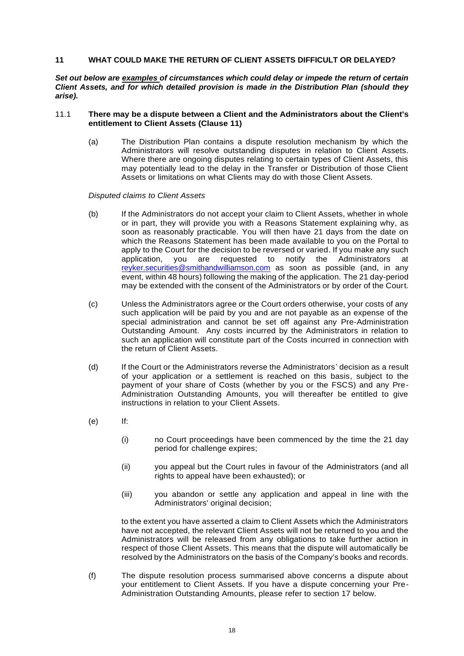## <span id="page-19-1"></span>**11 WHAT COULD MAKE THE RETURN OF CLIENT ASSETS DIFFICULT OR DELAYED?**

*Set out below are examples of circumstances which could delay or impede the return of certain Client Assets, and for which detailed provision is made in the Distribution Plan (should they arise).* 

## <span id="page-19-0"></span>11.1 **There may be a dispute between a Client and the Administrators about the Client's entitlement to Client Assets (Clause 11)**

(a) The Distribution Plan contains a dispute resolution mechanism by which the Administrators will resolve outstanding disputes in relation to Client Assets. Where there are ongoing disputes relating to certain types of Client Assets, this may potentially lead to the delay in the Transfer or Distribution of those Client Assets or limitations on what Clients may do with those Client Assets.

## *Disputed claims to Client Assets*

- (b) If the Administrators do not accept your claim to Client Assets, whether in whole or in part, they will provide you with a Reasons Statement explaining why, as soon as reasonably practicable. You will then have 21 days from the date on which the Reasons Statement has been made available to you on the Portal to apply to the Court for the decision to be reversed or varied. If you make any such application, you are requested to notify the Administrators at [reyker.securities@smithandwilliamson.com](mailto:reyker.securities@smithandwilliamson.com) as soon as possible (and, in any event, within 48 hours) following the making of the application. The 21 day-period may be extended with the consent of the Administrators or by order of the Court.
- (c) Unless the Administrators agree or the Court orders otherwise, your costs of any such application will be paid by you and are not payable as an expense of the special administration and cannot be set off against any Pre-Administration Outstanding Amount. Any costs incurred by the Administrators in relation to such an application will constitute part of the Costs incurred in connection with the return of Client Assets.
- (d) If the Court or the Administrators reverse the Administrators' decision as a result of your application or a settlement is reached on this basis, subject to the payment of your share of Costs (whether by you or the FSCS) and any Pre-Administration Outstanding Amounts, you will thereafter be entitled to give instructions in relation to your Client Assets.
- (e) If:
	- (i) no Court proceedings have been commenced by the time the 21 day period for challenge expires;
	- (ii) you appeal but the Court rules in favour of the Administrators (and all rights to appeal have been exhausted); or
	- (iii) you abandon or settle any application and appeal in line with the Administrators' original decision;

to the extent you have asserted a claim to Client Assets which the Administrators have not accepted, the relevant Client Assets will not be returned to you and the Administrators will be released from any obligations to take further action in respect of those Client Assets. This means that the dispute will automatically be resolved by the Administrators on the basis of the Company's books and records.

(f) The dispute resolution process summarised above concerns a dispute about your entitlement to Client Assets. If you have a dispute concerning your Pre-Administration Outstanding Amounts, please refer to section [17](#page-30-0) below.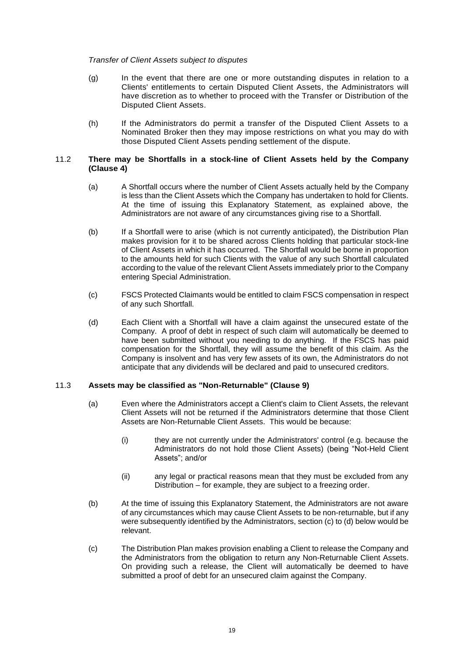### *Transfer of Client Assets subject to disputes*

- (g) In the event that there are one or more outstanding disputes in relation to a Clients' entitlements to certain Disputed Client Assets, the Administrators will have discretion as to whether to proceed with the Transfer or Distribution of the Disputed Client Assets.
- (h) If the Administrators do permit a transfer of the Disputed Client Assets to a Nominated Broker then they may impose restrictions on what you may do with those Disputed Client Assets pending settlement of the dispute.

## 11.2 **There may be Shortfalls in a stock-line of Client Assets held by the Company (Clause 4)**

- (a) A Shortfall occurs where the number of Client Assets actually held by the Company is less than the Client Assets which the Company has undertaken to hold for Clients. At the time of issuing this Explanatory Statement, as explained above, the Administrators are not aware of any circumstances giving rise to a Shortfall.
- (b) If a Shortfall were to arise (which is not currently anticipated), the Distribution Plan makes provision for it to be shared across Clients holding that particular stock-line of Client Assets in which it has occurred. The Shortfall would be borne in proportion to the amounts held for such Clients with the value of any such Shortfall calculated according to the value of the relevant Client Assets immediately prior to the Company entering Special Administration.
- (c) FSCS Protected Claimants would be entitled to claim FSCS compensation in respect of any such Shortfall.
- (d) Each Client with a Shortfall will have a claim against the unsecured estate of the Company. A proof of debt in respect of such claim will automatically be deemed to have been submitted without you needing to do anything. If the FSCS has paid compensation for the Shortfall, they will assume the benefit of this claim. As the Company is insolvent and has very few assets of its own, the Administrators do not anticipate that any dividends will be declared and paid to unsecured creditors.

# 11.3 **Assets may be classified as "Non-Returnable" (Clause 9)**

- (a) Even where the Administrators accept a Client's claim to Client Assets, the relevant Client Assets will not be returned if the Administrators determine that those Client Assets are Non-Returnable Client Assets. This would be because:
	- (i) they are not currently under the Administrators' control (e.g. because the Administrators do not hold those Client Assets) (being "Not-Held Client Assets"; and/or
	- (ii) any legal or practical reasons mean that they must be excluded from any Distribution – for example, they are subject to a freezing order.
- (b) At the time of issuing this Explanatory Statement, the Administrators are not aware of any circumstances which may cause Client Assets to be non-returnable, but if any were subsequently identified by the Administrators, section [\(c\)](#page-20-0) t[o \(d\)](#page-21-0) below would be relevant.
- <span id="page-20-0"></span>(c) The Distribution Plan makes provision enabling a Client to release the Company and the Administrators from the obligation to return any Non-Returnable Client Assets. On providing such a release, the Client will automatically be deemed to have submitted a proof of debt for an unsecured claim against the Company.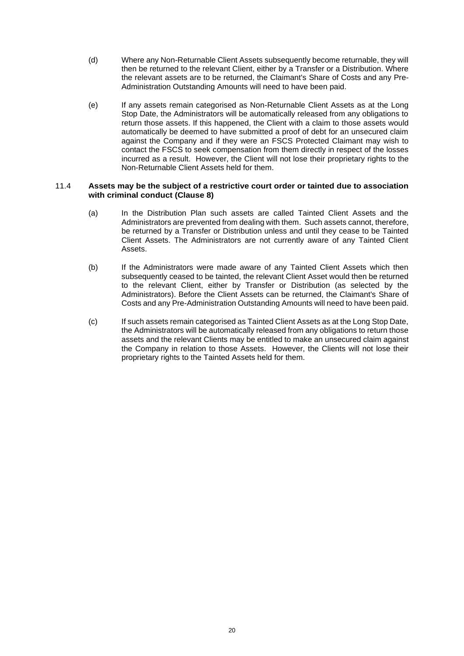- <span id="page-21-0"></span>(d) Where any Non-Returnable Client Assets subsequently become returnable, they will then be returned to the relevant Client, either by a Transfer or a Distribution. Where the relevant assets are to be returned, the Claimant's Share of Costs and any Pre-Administration Outstanding Amounts will need to have been paid.
- (e) If any assets remain categorised as Non-Returnable Client Assets as at the Long Stop Date, the Administrators will be automatically released from any obligations to return those assets. If this happened, the Client with a claim to those assets would automatically be deemed to have submitted a proof of debt for an unsecured claim against the Company and if they were an FSCS Protected Claimant may wish to contact the FSCS to seek compensation from them directly in respect of the losses incurred as a result. However, the Client will not lose their proprietary rights to the Non-Returnable Client Assets held for them.

## 11.4 **Assets may be the subject of a restrictive court order or tainted due to association with criminal conduct (Clause 8)**

- (a) In the Distribution Plan such assets are called Tainted Client Assets and the Administrators are prevented from dealing with them. Such assets cannot, therefore, be returned by a Transfer or Distribution unless and until they cease to be Tainted Client Assets. The Administrators are not currently aware of any Tainted Client Assets.
- (b) If the Administrators were made aware of any Tainted Client Assets which then subsequently ceased to be tainted, the relevant Client Asset would then be returned to the relevant Client, either by Transfer or Distribution (as selected by the Administrators). Before the Client Assets can be returned, the Claimant's Share of Costs and any Pre-Administration Outstanding Amounts will need to have been paid.
- (c) If such assets remain categorised as Tainted Client Assets as at the Long Stop Date, the Administrators will be automatically released from any obligations to return those assets and the relevant Clients may be entitled to make an unsecured claim against the Company in relation to those Assets. However, the Clients will not lose their proprietary rights to the Tainted Assets held for them.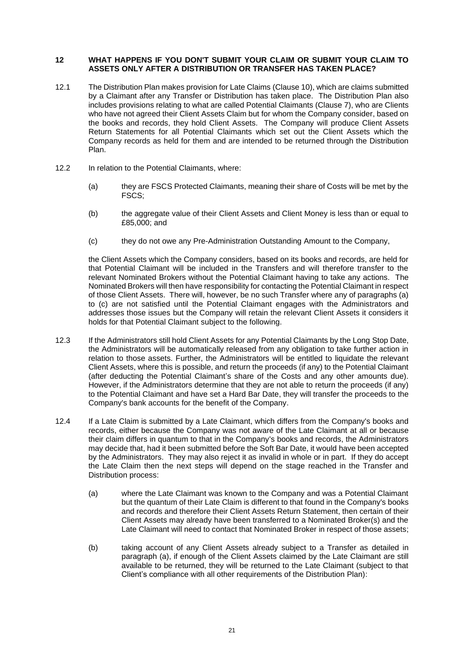## <span id="page-22-0"></span>**12 WHAT HAPPENS IF YOU DON'T SUBMIT YOUR CLAIM OR SUBMIT YOUR CLAIM TO ASSETS ONLY AFTER A DISTRIBUTION OR TRANSFER HAS TAKEN PLACE?**

- 12.1 The Distribution Plan makes provision for Late Claims (Clause 10), which are claims submitted by a Claimant after any Transfer or Distribution has taken place. The Distribution Plan also includes provisions relating to what are called Potential Claimants (Clause 7), who are Clients who have not agreed their Client Assets Claim but for whom the Company consider, based on the books and records, they hold Client Assets. The Company will produce Client Assets Return Statements for all Potential Claimants which set out the Client Assets which the Company records as held for them and are intended to be returned through the Distribution Plan.
- 12.2 In relation to the Potential Claimants, where:
	- (a) they are FSCS Protected Claimants, meaning their share of Costs will be met by the FSCS;
	- (b) the aggregate value of their Client Assets and Client Money is less than or equal to £85,000; and
	- (c) they do not owe any Pre-Administration Outstanding Amount to the Company,

the Client Assets which the Company considers, based on its books and records, are held for that Potential Claimant will be included in the Transfers and will therefore transfer to the relevant Nominated Brokers without the Potential Claimant having to take any actions. The Nominated Brokers will then have responsibility for contacting the Potential Claimant in respect of those Client Assets. There will, however, be no such Transfer where any of paragraphs (a) to (c) are not satisfied until the Potential Claimant engages with the Administrators and addresses those issues but the Company will retain the relevant Client Assets it considers it holds for that Potential Claimant subject to the following.

- 12.3 If the Administrators still hold Client Assets for any Potential Claimants by the Long Stop Date, the Administrators will be automatically released from any obligation to take further action in relation to those assets. Further, the Administrators will be entitled to liquidate the relevant Client Assets, where this is possible, and return the proceeds (if any) to the Potential Claimant (after deducting the Potential Claimant's share of the Costs and any other amounts due). However, if the Administrators determine that they are not able to return the proceeds (if any) to the Potential Claimant and have set a Hard Bar Date, they will transfer the proceeds to the Company's bank accounts for the benefit of the Company.
- <span id="page-22-1"></span>12.4 If a Late Claim is submitted by a Late Claimant, which differs from the Company's books and records, either because the Company was not aware of the Late Claimant at all or because their claim differs in quantum to that in the Company's books and records, the Administrators may decide that, had it been submitted before the Soft Bar Date, it would have been accepted by the Administrators. They may also reject it as invalid in whole or in part. If they do accept the Late Claim then the next steps will depend on the stage reached in the Transfer and Distribution process:
	- (a) where the Late Claimant was known to the Company and was a Potential Claimant but the quantum of their Late Claim is different to that found in the Company's books and records and therefore their Client Assets Return Statement, then certain of their Client Assets may already have been transferred to a Nominated Broker(s) and the Late Claimant will need to contact that Nominated Broker in respect of those assets;
	- (b) taking account of any Client Assets already subject to a Transfer as detailed in paragraph [\(a\),](#page-22-1) if enough of the Client Assets claimed by the Late Claimant are still available to be returned, they will be returned to the Late Claimant (subject to that Client's compliance with all other requirements of the Distribution Plan):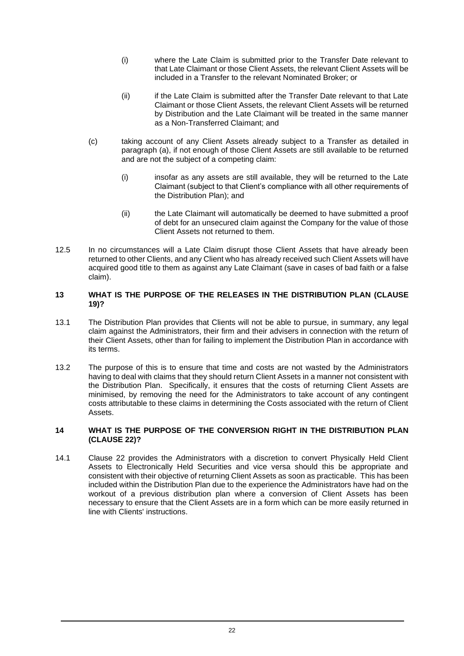- (i) where the Late Claim is submitted prior to the Transfer Date relevant to that Late Claimant or those Client Assets, the relevant Client Assets will be included in a Transfer to the relevant Nominated Broker; or
- (ii) if the Late Claim is submitted after the Transfer Date relevant to that Late Claimant or those Client Assets, the relevant Client Assets will be returned by Distribution and the Late Claimant will be treated in the same manner as a Non-Transferred Claimant; and
- (c) taking account of any Client Assets already subject to a Transfer as detailed in paragraph [\(a\),](#page-22-1) if not enough of those Client Assets are still available to be returned and are not the subject of a competing claim:
	- (i) insofar as any assets are still available, they will be returned to the Late Claimant (subject to that Client's compliance with all other requirements of the Distribution Plan); and
	- (ii) the Late Claimant will automatically be deemed to have submitted a proof of debt for an unsecured claim against the Company for the value of those Client Assets not returned to them.
- 12.5 In no circumstances will a Late Claim disrupt those Client Assets that have already been returned to other Clients, and any Client who has already received such Client Assets will have acquired good title to them as against any Late Claimant (save in cases of bad faith or a false claim).

# **13 WHAT IS THE PURPOSE OF THE RELEASES IN THE DISTRIBUTION PLAN (CLAUSE 19)?**

- 13.1 The Distribution Plan provides that Clients will not be able to pursue, in summary, any legal claim against the Administrators, their firm and their advisers in connection with the return of their Client Assets, other than for failing to implement the Distribution Plan in accordance with its terms.
- 13.2 The purpose of this is to ensure that time and costs are not wasted by the Administrators having to deal with claims that they should return Client Assets in a manner not consistent with the Distribution Plan. Specifically, it ensures that the costs of returning Client Assets are minimised, by removing the need for the Administrators to take account of any contingent costs attributable to these claims in determining the Costs associated with the return of Client Assets.

# **14 WHAT IS THE PURPOSE OF THE CONVERSION RIGHT IN THE DISTRIBUTION PLAN (CLAUSE 22)?**

14.1 Clause 22 provides the Administrators with a discretion to convert Physically Held Client Assets to Electronically Held Securities and vice versa should this be appropriate and consistent with their objective of returning Client Assets as soon as practicable. This has been included within the Distribution Plan due to the experience the Administrators have had on the workout of a previous distribution plan where a conversion of Client Assets has been necessary to ensure that the Client Assets are in a form which can be more easily returned in line with Clients' instructions.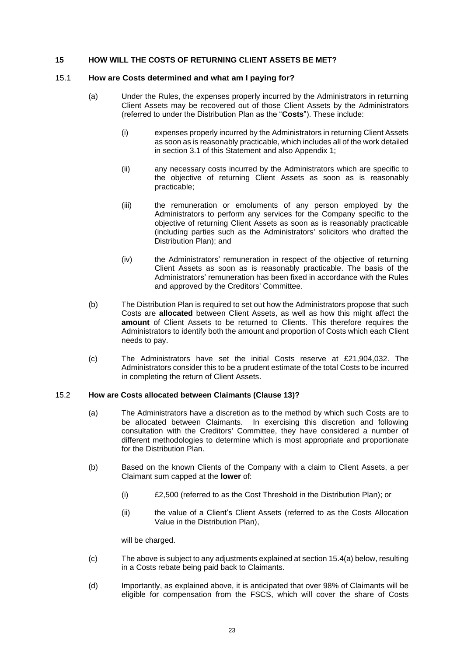# **15 HOW WILL THE COSTS OF RETURNING CLIENT ASSETS BE MET?**

### 15.1 **How are Costs determined and what am I paying for?**

- (a) Under the Rules, the expenses properly incurred by the Administrators in returning Client Assets may be recovered out of those Client Assets by the Administrators (referred to under the Distribution Plan as the "**Costs**"). These include:
	- (i) expenses properly incurred by the Administrators in returning Client Assets as soon as is reasonably practicable, which includes all of the work detailed in section [3.1](#page-9-0) of this Statement and also Appendix 1;
	- (ii) any necessary costs incurred by the Administrators which are specific to the objective of returning Client Assets as soon as is reasonably practicable;
	- (iii) the remuneration or emoluments of any person employed by the Administrators to perform any services for the Company specific to the objective of returning Client Assets as soon as is reasonably practicable (including parties such as the Administrators' solicitors who drafted the Distribution Plan); and
	- (iv) the Administrators' remuneration in respect of the objective of returning Client Assets as soon as is reasonably practicable. The basis of the Administrators' remuneration has been fixed in accordance with the Rules and approved by the Creditors' Committee.
- (b) The Distribution Plan is required to set out how the Administrators propose that such Costs are **allocated** between Client Assets, as well as how this might affect the **amount** of Client Assets to be returned to Clients. This therefore requires the Administrators to identify both the amount and proportion of Costs which each Client needs to pay.
- (c) The Administrators have set the initial Costs reserve at £21,904,032. The Administrators consider this to be a prudent estimate of the total Costs to be incurred in completing the return of Client Assets.

# 15.2 **How are Costs allocated between Claimants (Clause 13)?**

- (a) The Administrators have a discretion as to the method by which such Costs are to be allocated between Claimants. In exercising this discretion and following consultation with the Creditors' Committee, they have considered a number of different methodologies to determine which is most appropriate and proportionate for the Distribution Plan.
- (b) Based on the known Clients of the Company with a claim to Client Assets, a per Claimant sum capped at the **lower** of:
	- (i) £2,500 (referred to as the Cost Threshold in the Distribution Plan); or
	- (ii) the value of a Client's Client Assets (referred to as the Costs Allocation Value in the Distribution Plan),

will be charged.

- (c) The above is subject to any adjustments explained at section [15.4\(a\)](#page-25-0) below, resulting in a Costs rebate being paid back to Claimants.
- (d) Importantly, as explained above, it is anticipated that over 98% of Claimants will be eligible for compensation from the FSCS, which will cover the share of Costs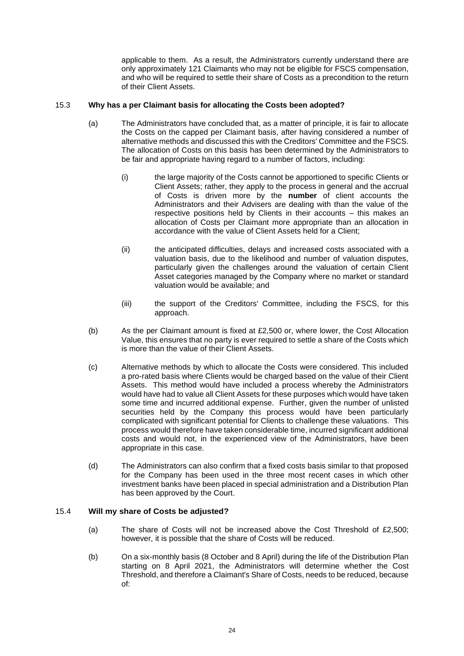applicable to them. As a result, the Administrators currently understand there are only approximately 121 Claimants who may not be eligible for FSCS compensation, and who will be required to settle their share of Costs as a precondition to the return of their Client Assets.

# 15.3 **Why has a per Claimant basis for allocating the Costs been adopted?**

- (a) The Administrators have concluded that, as a matter of principle, it is fair to allocate the Costs on the capped per Claimant basis, after having considered a number of alternative methods and discussed this with the Creditors' Committee and the FSCS. The allocation of Costs on this basis has been determined by the Administrators to be fair and appropriate having regard to a number of factors, including:
	- (i) the large majority of the Costs cannot be apportioned to specific Clients or Client Assets; rather, they apply to the process in general and the accrual of Costs is driven more by the **number** of client accounts the Administrators and their Advisers are dealing with than the value of the respective positions held by Clients in their accounts – this makes an allocation of Costs per Claimant more appropriate than an allocation in accordance with the value of Client Assets held for a Client;
	- (ii) the anticipated difficulties, delays and increased costs associated with a valuation basis, due to the likelihood and number of valuation disputes, particularly given the challenges around the valuation of certain Client Asset categories managed by the Company where no market or standard valuation would be available; and
	- (iii) the support of the Creditors' Committee, including the FSCS, for this approach.
- (b) As the per Claimant amount is fixed at £2,500 or, where lower, the Cost Allocation Value, this ensures that no party is ever required to settle a share of the Costs which is more than the value of their Client Assets.
- (c) Alternative methods by which to allocate the Costs were considered. This included a pro-rated basis where Clients would be charged based on the value of their Client Assets. This method would have included a process whereby the Administrators would have had to value all Client Assets for these purposes which would have taken some time and incurred additional expense. Further, given the number of unlisted securities held by the Company this process would have been particularly complicated with significant potential for Clients to challenge these valuations. This process would therefore have taken considerable time, incurred significant additional costs and would not, in the experienced view of the Administrators, have been appropriate in this case.
- (d) The Administrators can also confirm that a fixed costs basis similar to that proposed for the Company has been used in the three most recent cases in which other investment banks have been placed in special administration and a Distribution Plan has been approved by the Court.

#### <span id="page-25-0"></span>15.4 **Will my share of Costs be adjusted?**

- (a) The share of Costs will not be increased above the Cost Threshold of £2,500; however, it is possible that the share of Costs will be reduced.
- (b) On a six-monthly basis (8 October and 8 April) during the life of the Distribution Plan starting on 8 April 2021, the Administrators will determine whether the Cost Threshold, and therefore a Claimant's Share of Costs, needs to be reduced, because of: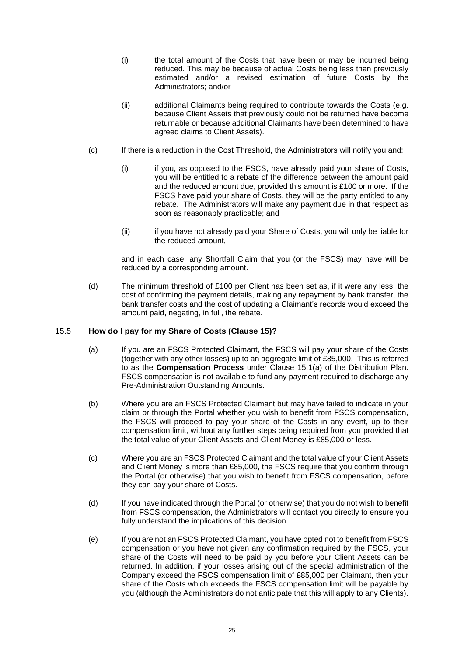- (i) the total amount of the Costs that have been or may be incurred being reduced. This may be because of actual Costs being less than previously estimated and/or a revised estimation of future Costs by the Administrators; and/or
- (ii) additional Claimants being required to contribute towards the Costs (e.g. because Client Assets that previously could not be returned have become returnable or because additional Claimants have been determined to have agreed claims to Client Assets).
- (c) If there is a reduction in the Cost Threshold, the Administrators will notify you and:
	- (i) if you, as opposed to the FSCS, have already paid your share of Costs, you will be entitled to a rebate of the difference between the amount paid and the reduced amount due, provided this amount is £100 or more. If the FSCS have paid your share of Costs, they will be the party entitled to any rebate. The Administrators will make any payment due in that respect as soon as reasonably practicable; and
	- (ii) if you have not already paid your Share of Costs, you will only be liable for the reduced amount,

and in each case, any Shortfall Claim that you (or the FSCS) may have will be reduced by a corresponding amount.

(d) The minimum threshold of £100 per Client has been set as, if it were any less, the cost of confirming the payment details, making any repayment by bank transfer, the bank transfer costs and the cost of updating a Claimant's records would exceed the amount paid, negating, in full, the rebate.

# <span id="page-26-0"></span>15.5 **How do I pay for my Share of Costs (Clause 15)?**

- (a) If you are an FSCS Protected Claimant, the FSCS will pay your share of the Costs (together with any other losses) up to an aggregate limit of £85,000. This is referred to as the **Compensation Process** under Clause 15.1(a) of the Distribution Plan. FSCS compensation is not available to fund any payment required to discharge any Pre-Administration Outstanding Amounts.
- (b) Where you are an FSCS Protected Claimant but may have failed to indicate in your claim or through the Portal whether you wish to benefit from FSCS compensation, the FSCS will proceed to pay your share of the Costs in any event, up to their compensation limit, without any further steps being required from you provided that the total value of your Client Assets and Client Money is £85,000 or less.
- (c) Where you are an FSCS Protected Claimant and the total value of your Client Assets and Client Money is more than £85,000, the FSCS require that you confirm through the Portal (or otherwise) that you wish to benefit from FSCS compensation, before they can pay your share of Costs.
- (d) If you have indicated through the Portal (or otherwise) that you do not wish to benefit from FSCS compensation, the Administrators will contact you directly to ensure you fully understand the implications of this decision.
- (e) If you are not an FSCS Protected Claimant, you have opted not to benefit from FSCS compensation or you have not given any confirmation required by the FSCS, your share of the Costs will need to be paid by you before your Client Assets can be returned. In addition, if your losses arising out of the special administration of the Company exceed the FSCS compensation limit of £85,000 per Claimant, then your share of the Costs which exceeds the FSCS compensation limit will be payable by you (although the Administrators do not anticipate that this will apply to any Clients).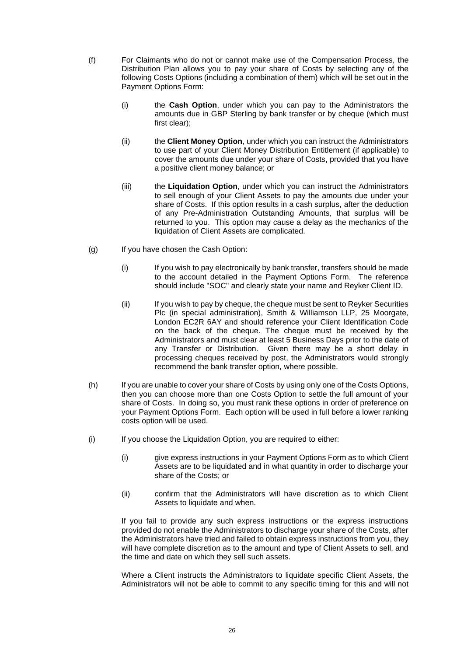- <span id="page-27-1"></span>(f) For Claimants who do not or cannot make use of the Compensation Process, the Distribution Plan allows you to pay your share of Costs by selecting any of the following Costs Options (including a combination of them) which will be set out in the Payment Options Form:
	- (i) the **Cash Option**, under which you can pay to the Administrators the amounts due in GBP Sterling by bank transfer or by cheque (which must first clear);
	- (ii) the **Client Money Option**, under which you can instruct the Administrators to use part of your Client Money Distribution Entitlement (if applicable) to cover the amounts due under your share of Costs, provided that you have a positive client money balance; or
	- (iii) the **Liquidation Option**, under which you can instruct the Administrators to sell enough of your Client Assets to pay the amounts due under your share of Costs. If this option results in a cash surplus, after the deduction of any Pre-Administration Outstanding Amounts, that surplus will be returned to you. This option may cause a delay as the mechanics of the liquidation of Client Assets are complicated.
- <span id="page-27-0"></span>(g) If you have chosen the Cash Option:
	- (i) If you wish to pay electronically by bank transfer, transfers should be made to the account detailed in the Payment Options Form. The reference should include "SOC" and clearly state your name and Reyker Client ID.
	- (ii) If you wish to pay by cheque, the cheque must be sent to Reyker Securities Plc (in special administration), Smith & Williamson LLP, 25 Moorgate, London EC2R 6AY and should reference your Client Identification Code on the back of the cheque. The cheque must be received by the Administrators and must clear at least 5 Business Days prior to the date of any Transfer or Distribution. Given there may be a short delay in processing cheques received by post, the Administrators would strongly recommend the bank transfer option, where possible.
- (h) If you are unable to cover your share of Costs by using only one of the Costs Options, then you can choose more than one Costs Option to settle the full amount of your share of Costs. In doing so, you must rank these options in order of preference on your Payment Options Form. Each option will be used in full before a lower ranking costs option will be used.
- (i) If you choose the Liquidation Option, you are required to either:
	- (i) give express instructions in your Payment Options Form as to which Client Assets are to be liquidated and in what quantity in order to discharge your share of the Costs; or
	- (ii) confirm that the Administrators will have discretion as to which Client Assets to liquidate and when.

If you fail to provide any such express instructions or the express instructions provided do not enable the Administrators to discharge your share of the Costs, after the Administrators have tried and failed to obtain express instructions from you, they will have complete discretion as to the amount and type of Client Assets to sell, and the time and date on which they sell such assets.

Where a Client instructs the Administrators to liquidate specific Client Assets, the Administrators will not be able to commit to any specific timing for this and will not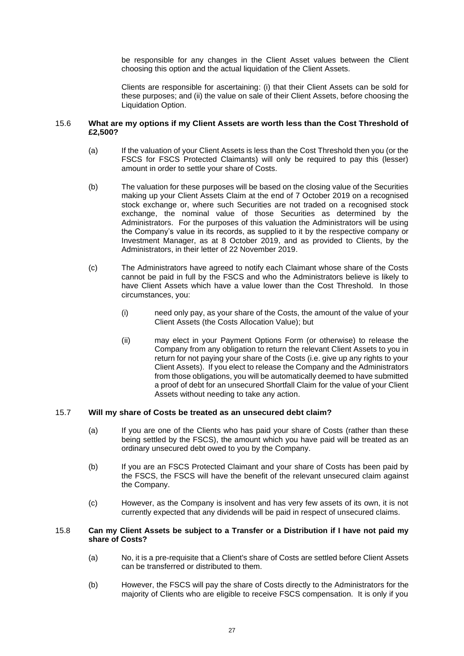be responsible for any changes in the Client Asset values between the Client choosing this option and the actual liquidation of the Client Assets.

Clients are responsible for ascertaining: (i) that their Client Assets can be sold for these purposes; and (ii) the value on sale of their Client Assets, before choosing the Liquidation Option.

### 15.6 **What are my options if my Client Assets are worth less than the Cost Threshold of £2,500?**

- (a) If the valuation of your Client Assets is less than the Cost Threshold then you (or the FSCS for FSCS Protected Claimants) will only be required to pay this (lesser) amount in order to settle your share of Costs.
- (b) The valuation for these purposes will be based on the closing value of the Securities making up your Client Assets Claim at the end of 7 October 2019 on a recognised stock exchange or, where such Securities are not traded on a recognised stock exchange, the nominal value of those Securities as determined by the Administrators. For the purposes of this valuation the Administrators will be using the Company's value in its records, as supplied to it by the respective company or Investment Manager, as at 8 October 2019, and as provided to Clients, by the Administrators, in their letter of 22 November 2019.
- (c) The Administrators have agreed to notify each Claimant whose share of the Costs cannot be paid in full by the FSCS and who the Administrators believe is likely to have Client Assets which have a value lower than the Cost Threshold. In those circumstances, you:
	- (i) need only pay, as your share of the Costs, the amount of the value of your Client Assets (the Costs Allocation Value); but
	- (ii) may elect in your Payment Options Form (or otherwise) to release the Company from any obligation to return the relevant Client Assets to you in return for not paying your share of the Costs (i.e. give up any rights to your Client Assets). If you elect to release the Company and the Administrators from those obligations, you will be automatically deemed to have submitted a proof of debt for an unsecured Shortfall Claim for the value of your Client Assets without needing to take any action.

#### 15.7 **Will my share of Costs be treated as an unsecured debt claim?**

- (a) If you are one of the Clients who has paid your share of Costs (rather than these being settled by the FSCS), the amount which you have paid will be treated as an ordinary unsecured debt owed to you by the Company.
- (b) If you are an FSCS Protected Claimant and your share of Costs has been paid by the FSCS, the FSCS will have the benefit of the relevant unsecured claim against the Company.
- (c) However, as the Company is insolvent and has very few assets of its own, it is not currently expected that any dividends will be paid in respect of unsecured claims.

#### 15.8 **Can my Client Assets be subject to a Transfer or a Distribution if I have not paid my share of Costs?**

- (a) No, it is a pre-requisite that a Client's share of Costs are settled before Client Assets can be transferred or distributed to them.
- (b) However, the FSCS will pay the share of Costs directly to the Administrators for the majority of Clients who are eligible to receive FSCS compensation. It is only if you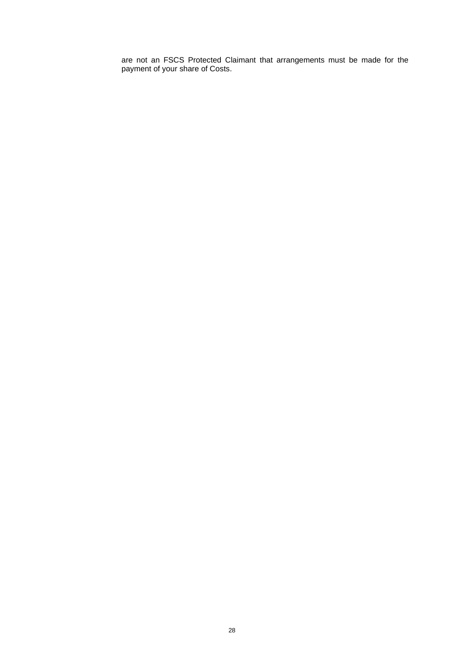are not an FSCS Protected Claimant that arrangements must be made for the payment of your share of Costs.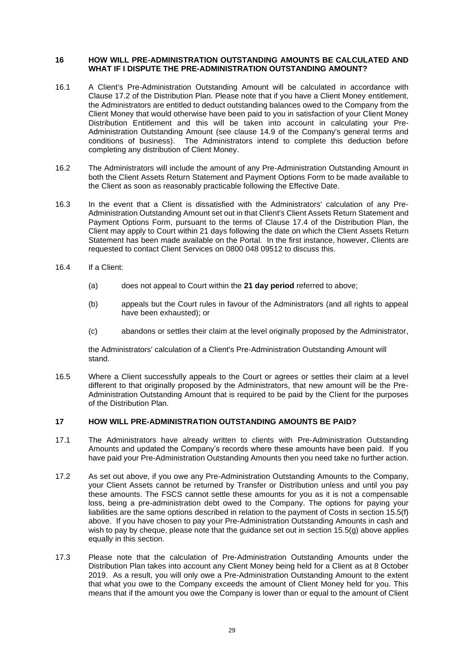#### **16 HOW WILL PRE-ADMINISTRATION OUTSTANDING AMOUNTS BE CALCULATED AND WHAT IF I DISPUTE THE PRE-ADMINISTRATION OUTSTANDING AMOUNT?**

- 16.1 A Client's Pre-Administration Outstanding Amount will be calculated in accordance with Clause 17.2 of the Distribution Plan. Please note that if you have a Client Money entitlement, the Administrators are entitled to deduct outstanding balances owed to the Company from the Client Money that would otherwise have been paid to you in satisfaction of your Client Money Distribution Entitlement and this will be taken into account in calculating your Pre-Administration Outstanding Amount (see clause 14.9 of the Company's general terms and conditions of business). The Administrators intend to complete this deduction before completing any distribution of Client Money.
- 16.2 The Administrators will include the amount of any Pre-Administration Outstanding Amount in both the Client Assets Return Statement and Payment Options Form to be made available to the Client as soon as reasonably practicable following the Effective Date.
- 16.3 In the event that a Client is dissatisfied with the Administrators' calculation of any Pre-Administration Outstanding Amount set out in that Client's Client Assets Return Statement and Payment Options Form, pursuant to the terms of Clause 17.4 of the Distribution Plan, the Client may apply to Court within 21 days following the date on which the Client Assets Return Statement has been made available on the Portal. In the first instance, however, Clients are requested to contact Client Services on 0800 048 09512 to discuss this.
- 16.4 If a Client:
	- (a) does not appeal to Court within the **21 day period** referred to above;
	- (b) appeals but the Court rules in favour of the Administrators (and all rights to appeal have been exhausted); or
	- (c) abandons or settles their claim at the level originally proposed by the Administrator,

the Administrators' calculation of a Client's Pre-Administration Outstanding Amount will stand.

16.5 Where a Client successfully appeals to the Court or agrees or settles their claim at a level different to that originally proposed by the Administrators, that new amount will be the Pre-Administration Outstanding Amount that is required to be paid by the Client for the purposes of the Distribution Plan.

# <span id="page-30-0"></span>**17 HOW WILL PRE-ADMINISTRATION OUTSTANDING AMOUNTS BE PAID?**

- <span id="page-30-1"></span>17.1 The Administrators have already written to clients with Pre-Administration Outstanding Amounts and updated the Company's records where these amounts have been paid. If you have paid your Pre-Administration Outstanding Amounts then you need take no further action.
- 17.2 As set out above, if you owe any Pre-Administration Outstanding Amounts to the Company, your Client Assets cannot be returned by Transfer or Distribution unless and until you pay these amounts. The FSCS cannot settle these amounts for you as it is not a compensable loss, being a pre-administration debt owed to the Company. The options for paying your liabilities are the same options described in relation to the payment of Costs in section 15.5(f) above. If you have chosen to pay your Pre-Administration Outstanding Amounts in cash and wish to pay by cheque, please note that the guidance set out in section 15.5(g) above applies equally in this section.
- 17.3 Please note that the calculation of Pre-Administration Outstanding Amounts under the Distribution Plan takes into account any Client Money being held for a Client as at 8 October 2019. As a result, you will only owe a Pre-Administration Outstanding Amount to the extent that what you owe to the Company exceeds the amount of Client Money held for you. This means that if the amount you owe the Company is lower than or equal to the amount of Client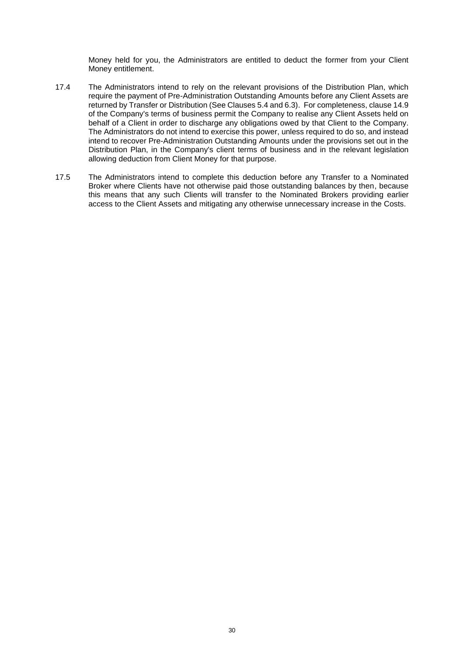Money held for you, the Administrators are entitled to deduct the former from your Client Money entitlement.

- 17.4 The Administrators intend to rely on the relevant provisions of the Distribution Plan, which require the payment of Pre-Administration Outstanding Amounts before any Client Assets are returned by Transfer or Distribution (See Clauses 5.4 and 6.3). For completeness, clause 14.9 of the Company's terms of business permit the Company to realise any Client Assets held on behalf of a Client in order to discharge any obligations owed by that Client to the Company. The Administrators do not intend to exercise this power, unless required to do so, and instead intend to recover Pre-Administration Outstanding Amounts under the provisions set out in the Distribution Plan, in the Company's client terms of business and in the relevant legislation allowing deduction from Client Money for that purpose.
- 17.5 The Administrators intend to complete this deduction before any Transfer to a Nominated Broker where Clients have not otherwise paid those outstanding balances by then, because this means that any such Clients will transfer to the Nominated Brokers providing earlier access to the Client Assets and mitigating any otherwise unnecessary increase in the Costs.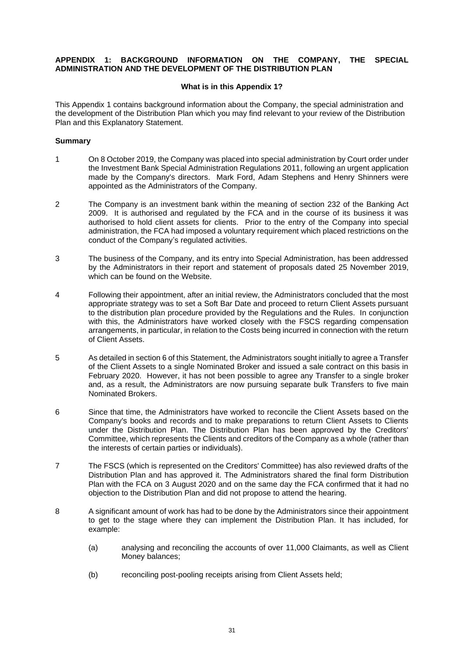## **APPENDIX 1: BACKGROUND INFORMATION ON THE COMPANY, THE SPECIAL ADMINISTRATION AND THE DEVELOPMENT OF THE DISTRIBUTION PLAN**

## **What is in this Appendix 1?**

This Appendix 1 contains background information about the Company, the special administration and the development of the Distribution Plan which you may find relevant to your review of the Distribution Plan and this Explanatory Statement.

## **Summary**

- 1 On 8 October 2019, the Company was placed into special administration by Court order under the Investment Bank Special Administration Regulations 2011, following an urgent application made by the Company's directors. Mark Ford, Adam Stephens and Henry Shinners were appointed as the Administrators of the Company.
- 2 The Company is an investment bank within the meaning of section 232 of the Banking Act 2009. It is authorised and regulated by the FCA and in the course of its business it was authorised to hold client assets for clients. Prior to the entry of the Company into special administration, the FCA had imposed a voluntary requirement which placed restrictions on the conduct of the Company's regulated activities.
- 3 The business of the Company, and its entry into Special Administration, has been addressed by the Administrators in their report and statement of proposals dated 25 November 2019, which can be found on the Website.
- 4 Following their appointment, after an initial review, the Administrators concluded that the most appropriate strategy was to set a Soft Bar Date and proceed to return Client Assets pursuant to the distribution plan procedure provided by the Regulations and the Rules. In conjunction with this, the Administrators have worked closely with the FSCS regarding compensation arrangements, in particular, in relation to the Costs being incurred in connection with the return of Client Assets.
- 5 As detailed in sectio[n 6](#page-14-1) of this Statement, the Administrators sought initially to agree a Transfer of the Client Assets to a single Nominated Broker and issued a sale contract on this basis in February 2020. However, it has not been possible to agree any Transfer to a single broker and, as a result, the Administrators are now pursuing separate bulk Transfers to five main Nominated Brokers.
- 6 Since that time, the Administrators have worked to reconcile the Client Assets based on the Company's books and records and to make preparations to return Client Assets to Clients under the Distribution Plan. The Distribution Plan has been approved by the Creditors' Committee, which represents the Clients and creditors of the Company as a whole (rather than the interests of certain parties or individuals).
- 7 The FSCS (which is represented on the Creditors' Committee) has also reviewed drafts of the Distribution Plan and has approved it. The Administrators shared the final form Distribution Plan with the FCA on 3 August 2020 and on the same day the FCA confirmed that it had no objection to the Distribution Plan and did not propose to attend the hearing.
- 8 A significant amount of work has had to be done by the Administrators since their appointment to get to the stage where they can implement the Distribution Plan. It has included, for example:
	- (a) analysing and reconciling the accounts of over 11,000 Claimants, as well as Client Money balances;
	- (b) reconciling post-pooling receipts arising from Client Assets held;